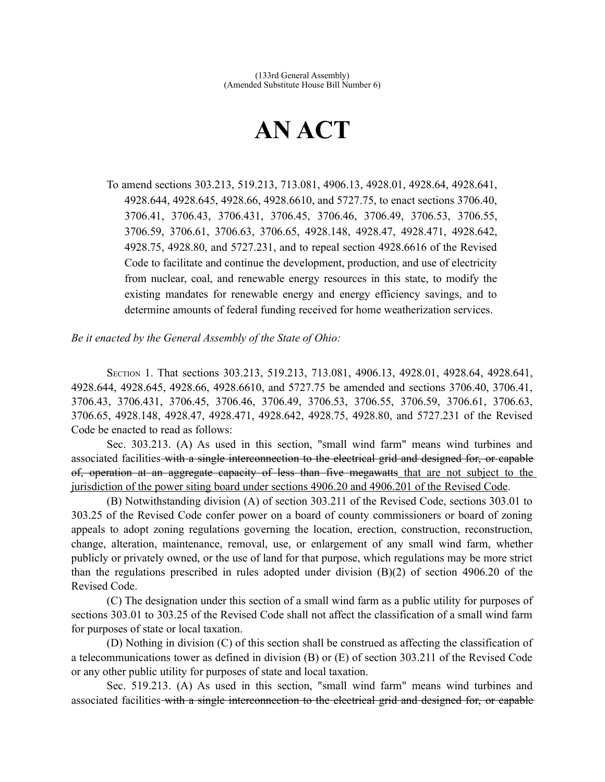## **AN ACT**

To amend sections 303.213, 519.213, 713.081, 4906.13, 4928.01, 4928.64, 4928.641, 4928.644, 4928.645, 4928.66, 4928.6610, and 5727.75, to enact sections 3706.40, 3706.41, 3706.43, 3706.431, 3706.45, 3706.46, 3706.49, 3706.53, 3706.55, 3706.59, 3706.61, 3706.63, 3706.65, 4928.148, 4928.47, 4928.471, 4928.642, 4928.75, 4928.80, and 5727.231, and to repeal section 4928.6616 of the Revised Code to facilitate and continue the development, production, and use of electricity from nuclear, coal, and renewable energy resources in this state, to modify the existing mandates for renewable energy and energy efficiency savings, and to determine amounts of federal funding received for home weatherization services.

*Be it enacted by the General Assembly of the State of Ohio:*

SECTION 1. That sections 303.213, 519.213, 713.081, 4906.13, 4928.01, 4928.64, 4928.641, 4928.644, 4928.645, 4928.66, 4928.6610, and 5727.75 be amended and sections 3706.40, 3706.41, 3706.43, 3706.431, 3706.45, 3706.46, 3706.49, 3706.53, 3706.55, 3706.59, 3706.61, 3706.63, 3706.65, 4928.148, 4928.47, 4928.471, 4928.642, 4928.75, 4928.80, and 5727.231 of the Revised Code be enacted to read as follows:

Sec. 303.213. (A) As used in this section, "small wind farm" means wind turbines and associated facilities with a single interconnection to the electrical grid and designed for, or capable of, operation at an aggregate capacity of less than five megawatts that are not subject to the jurisdiction of the power siting board under sections 4906.20 and 4906.201 of the Revised Code.

(B) Notwithstanding division (A) of section 303.211 of the Revised Code, sections 303.01 to 303.25 of the Revised Code confer power on a board of county commissioners or board of zoning appeals to adopt zoning regulations governing the location, erection, construction, reconstruction, change, alteration, maintenance, removal, use, or enlargement of any small wind farm, whether publicly or privately owned, or the use of land for that purpose, which regulations may be more strict than the regulations prescribed in rules adopted under division (B)(2) of section 4906.20 of the Revised Code.

(C) The designation under this section of a small wind farm as a public utility for purposes of sections 303.01 to 303.25 of the Revised Code shall not affect the classification of a small wind farm for purposes of state or local taxation.

(D) Nothing in division (C) of this section shall be construed as affecting the classification of a telecommunications tower as defined in division (B) or (E) of section 303.211 of the Revised Code or any other public utility for purposes of state and local taxation.

Sec. 519.213. (A) As used in this section, "small wind farm" means wind turbines and associated facilities with a single interconnection to the electrical grid and designed for, or capable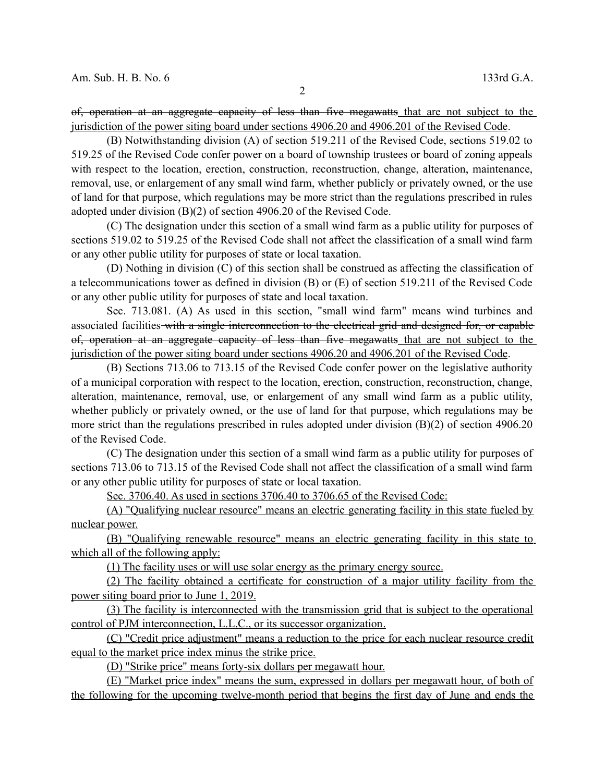of, operation at an aggregate capacity of less than five megawatts that are not subject to the jurisdiction of the power siting board under sections 4906.20 and 4906.201 of the Revised Code.

(B) Notwithstanding division (A) of section 519.211 of the Revised Code, sections 519.02 to 519.25 of the Revised Code confer power on a board of township trustees or board of zoning appeals with respect to the location, erection, construction, reconstruction, change, alteration, maintenance, removal, use, or enlargement of any small wind farm, whether publicly or privately owned, or the use of land for that purpose, which regulations may be more strict than the regulations prescribed in rules adopted under division (B)(2) of section 4906.20 of the Revised Code.

(C) The designation under this section of a small wind farm as a public utility for purposes of sections 519.02 to 519.25 of the Revised Code shall not affect the classification of a small wind farm or any other public utility for purposes of state or local taxation.

(D) Nothing in division (C) of this section shall be construed as affecting the classification of a telecommunications tower as defined in division (B) or (E) of section 519.211 of the Revised Code or any other public utility for purposes of state and local taxation.

Sec. 713.081. (A) As used in this section, "small wind farm" means wind turbines and associated facilities with a single interconnection to the electrical grid and designed for, or capable of, operation at an aggregate capacity of less than five megawatts that are not subject to the jurisdiction of the power siting board under sections 4906.20 and 4906.201 of the Revised Code.

(B) Sections 713.06 to 713.15 of the Revised Code confer power on the legislative authority of a municipal corporation with respect to the location, erection, construction, reconstruction, change, alteration, maintenance, removal, use, or enlargement of any small wind farm as a public utility, whether publicly or privately owned, or the use of land for that purpose, which regulations may be more strict than the regulations prescribed in rules adopted under division (B)(2) of section 4906.20 of the Revised Code.

(C) The designation under this section of a small wind farm as a public utility for purposes of sections 713.06 to 713.15 of the Revised Code shall not affect the classification of a small wind farm or any other public utility for purposes of state or local taxation.

Sec. 3706.40. As used in sections 3706.40 to 3706.65 of the Revised Code:

 (A) "Qualifying nuclear resource" means an electric generating facility in this state fueled by nuclear power.

 (B) "Qualifying renewable resource" means an electric generating facility in this state to which all of the following apply:

(1) The facility uses or will use solar energy as the primary energy source.

(2) The facility obtained a certificate for construction of a major utility facility from the power siting board prior to June 1, 2019.

 (3) The facility is interconnected with the transmission grid that is subject to the operational control of PJM interconnection, L.L.C., or its successor organization.

 (C) "Credit price adjustment" means a reduction to the price for each nuclear resource credit equal to the market price index minus the strike price.

(D) "Strike price" means forty-six dollars per megawatt hour.

(E) "Market price index" means the sum, expressed in dollars per megawatt hour, of both of the following for the upcoming twelve-month period that begins the first day of June and ends the

2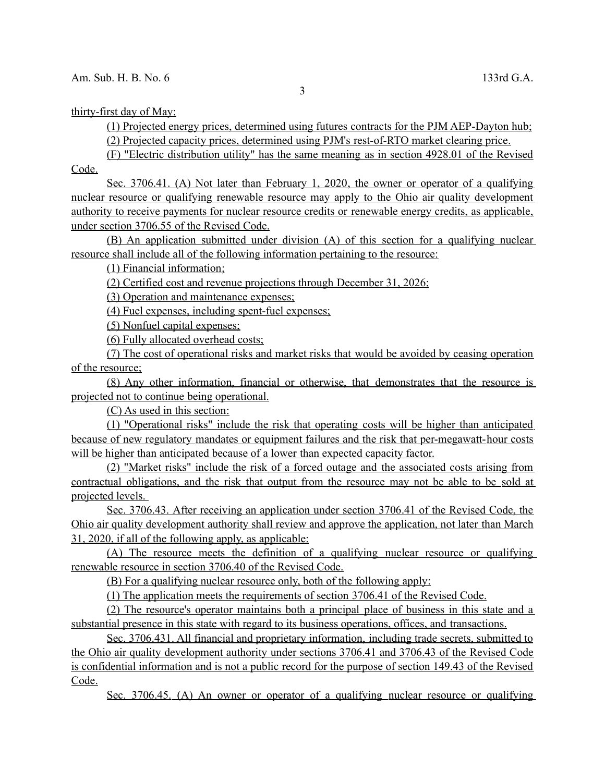thirty-first day of May:

 (1) Projected energy prices, determined using futures contracts for the PJM AEP-Dayton hub; (2) Projected capacity prices, determined using PJM's rest-of-RTO market clearing price.

(F) "Electric distribution utility" has the same meaning as in section 4928.01 of the Revised

Code.

 Sec. 3706.41. (A) Not later than February 1, 2020 , the owner or operator of a qualifying nuclear resource or qualifying renewable resource may apply to the Ohio air quality development authority to receive payments for nuclear resource credits or renewable energy credits, as applicable, under section 3706.55 of the Revised Code.

 (B) An application submitted under division (A) of this section for a qualifying nuclear resource shall include all of the following information pertaining to the resource:

(1) Financial information ;

(2) Certified cost and revenue projections through December 31, 2026 ;

(3) Operation and maintenance expenses;

(4) Fuel expenses, including spent-fuel expenses;

(5) Nonfuel capital expenses;

(6) Fully allocated overhead costs;

 (7) The cost of operational risks and market risks that would be avoided by ceasing operation of the resource;

 (8) Any other information, financial or otherwise, that demonstrates that the resource is projected not to continue being operational.

(C) As used in this section:

 (1) "Operational risks" include the risk that operating costs will be higher than anticipated because of new regulatory mandates or equipment failures and the risk that per-megawatt- hour costs will be higher than anticipated because of a lower than expected capacity factor.

 (2) "Market risks" include the risk of a forced outage and the associated costs arising from contractual obligations, and the risk that output from the resource may not be able to be sold at projected levels.

 Sec. 3706.43. After receiving an application under section 3706.41 of the Revised Code, the Ohio air quality development authority shall review and approve the application, not later than March 31, 2020 , if all of the following apply, as applicable:

 (A) The resource meets the definition of a qualifying nuclear resource or qualifying renewable resource in section 3706.40 of the Revised Code.

(B) For a qualifying nuclear resource only, both of the following apply:

(1) The application meets the requirements of section 3706.41 of the Revised Code.

(2) The resource's operator maintains both a principal place of business in this state and a substantial presence in this state with regard to its business operations, offices, and transactions.

 Sec. 3706.431. All financial and proprietary information, including trade secrets, submitted to the Ohio air quality development authority under sections 3706.41 and 3706.43 of the Revised Code is confidential information and is not a public record for the purpose of section 149.43 of the Revised Code.

Sec. 3706.45. (A) An owner or operator of a qualifying nuclear resource or qualifying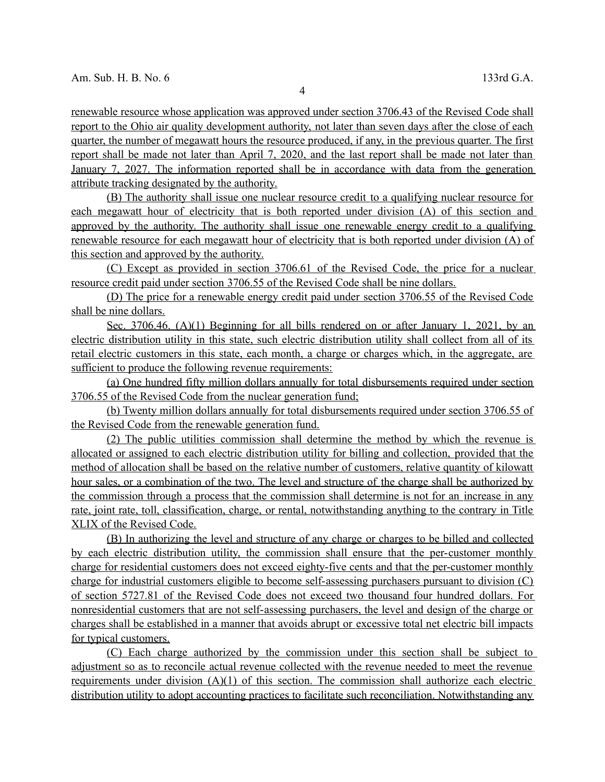renewable resource whose application was approved under section 3706.43 of the Revised Code shall report to the Ohio air quality development authority, not later than seven days after the close of each quarter, the number of megawatt hours the resource produced, if any, in the previous quarter. The first report shall be made not later than April 7, 2020 , and the last report shall be made not later than January 7, 2027. The information reported shall be in accordance with data from the generation attribute tracking designated by the authority.

 (B) The authority shall issue one nuclear resource credit to a qualifying nuclear resource for each megawatt hour of electricity that is both reported under division (A) of this section and approved by the authority. The authority shall issue one renewable energy credit to a qualifying renewable resource for each megawatt hour of electricity that is both reported under division (A) of this section and approved by the authority.

 (C) Except as provided in section 3706.61 of the Revised Code, the price for a nuclear resource credit paid under section 3706.55 of the Revised Code shall be nine dollars.

 (D) The price for a renewable energy credit paid under section 3706.55 of the Revised Code shall be nine dollars.

 Sec. 3706.46. (A)(1) Beginning for all bills rendered on or after January 1, 2021 , by an electric distribution utility in this state, such electric distribution utility shall collect from all of its retail electric customers in this state, each month, a charge or charges which, in the aggregate, are sufficient to produce the following revenue requirements:

 (a) One hundred fifty million dollars annually for total disbursements required under section 3706.55 of the Revised Code from the nuclear generation fund;

 (b) Twenty million dollars annually for total disbursements required under section 3706.55 of the Revised Code from the renewable generation fund.

 (2) The public utilities commission shall determine the method by which the revenue is allocated or assigned to each electric distribution utility for billing and collection, provided that the method of allocation shall be based on the relative number of customers, relative quantity of kilowatt hour sales, or a combination of the two. The level and structure of the charge shall be authorized by the commission through a process that the commission shall determine is not for an increase in any rate, joint rate, toll, classification, charge, or rental, notwithstanding anything to the contrary in Title XLIX of the Revised Code.

 (B) In authorizing the level and structure of any charge or charges to be billed and collected by each electric distribution utility, the commission shall ensure that the per-customer monthly charge for residential customers does not exceed eighty-five cents and that the per-customer monthly charge for industrial customers eligible to become self- assessing purchasers pursuant to division (C) of section 5727.81 of the Revised Code does not exceed two thousand four hundred dollars. For nonresidential customers that are not self- assessing purchasers, the level and design of the charge or charges shall be established in a manner that avoids abrupt or excessive total net electric bill impacts for typical customers.

(C) Each charge authorized by the commission under this section shall be subject to adjustment so as to reconcile actual revenue collected with the revenue needed to meet the revenue requirements under division  $(A)(1)$  of this section. The commission shall authorize each electric distribution utility to adopt accounting practices to facilitate such reconciliation. Notwithstanding any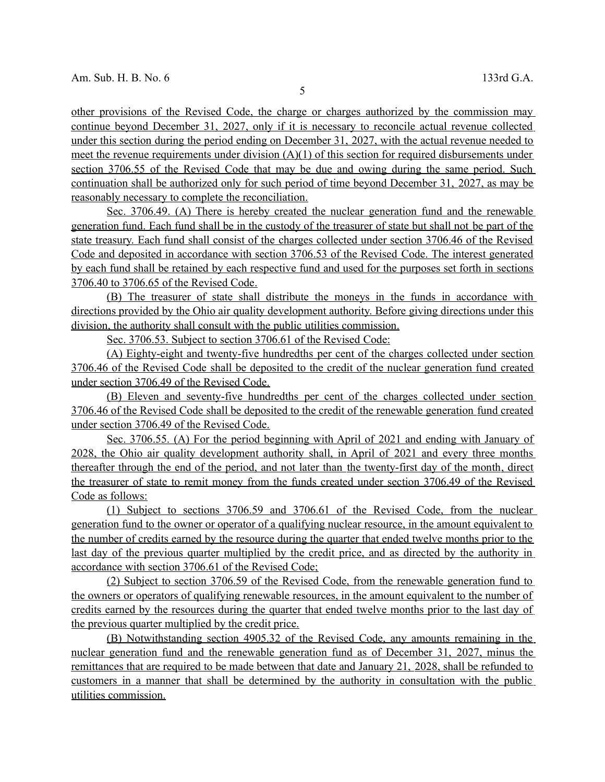other provisions of the Revised Code, the charge or charges authorized by the commission may continue beyond December 31, 2027 , only if it is necessary to reconcile actual revenue collected under this section during the period ending on December 31, 2027 , with the actual revenue needed to meet the revenue requirements under division  $(A)(1)$  of this section for required disbursements under section 3706.55 of the Revised Code that may be due and owing during the same period. Such continuation shall be authorized only for such period of time beyond December 31, 2027 , as may be reasonably necessary to complete the reconciliation.

 Sec. 3706.49. (A) There is hereby created the nuclear generation fund and the renewable generation fund. Each fund shall be in the custody of the treasurer of state but shall not be part of the state treasury. Each fund shall consist of the charges collected under section 3706.46 of the Revised Code and deposited in accordance with section 3706.53 of the Revised Code. The interest generated by each fund shall be retained by each respective fund and used for the purposes set forth in sections 3706.40 to 3706.65 of the Revised Code.

 (B) The treasurer of state shall distribute the moneys in the funds in accordance with directions provided by the Ohio air quality development authority. Before giving directions under this division, the authority shall consult with the public utilities commission.

Sec. 3706.53. Subject to section 3706.61 of the Revised Code:

 (A) Eighty-eight and twenty-five hundredths per cent of the charges collected under section 3706.46 of the Revised Code shall be deposited to the credit of the nuclear generation fund created under section 3706.49 of the Revised Code.

 (B) Eleven and seventy-five hundredths per cent of the charges collected under section 3706.46 of the Revised Code shall be deposited to the credit of the renewable generation fund created under section 3706.49 of the Revised Code.

 Sec. 3706.55. (A) For the period beginning with April of 2021 and ending with January of 2028 , the Ohio air quality development authority shall, in April of 2021 and every three months thereafter through the end of the period, and not later than the twenty-first day of the month, direct the treasurer of state to remit money from the funds created under section 3706.49 of the Revised Code as follows:

 (1) Subject to sections 3706.59 and 3706.61 of the Revised Code, from the nuclear generation fund to the owner or operator of a qualifying nuclear resource, in the amount equivalent to the number of credits earned by the resource during the quarter that ended twelve months prior to the last day of the previous quarter multiplied by the credit price, and as directed by the authority in accordance with section 3706.61 of the Revised Code;

(2) Subject to section 3706.59 of the Revised Code, from the renewable generation fund to the owners or operators of qualifying renewable resources, in the amount equivalent to the number of credits earned by the resources during the quarter that ended twelve months prior to the last day of the previous quarter multiplied by the credit price.

(B) Notwithstanding section 4905.32 of the Revised Code, any amounts remaining in the nuclear generation fund and the renewable generation fund as of December 31, 2027, minus the remittances that are required to be made between that date and January 21, 2028 , shall be refunded to customers in a manner that shall be determined by the authority in consultation with the public utilities commission.

5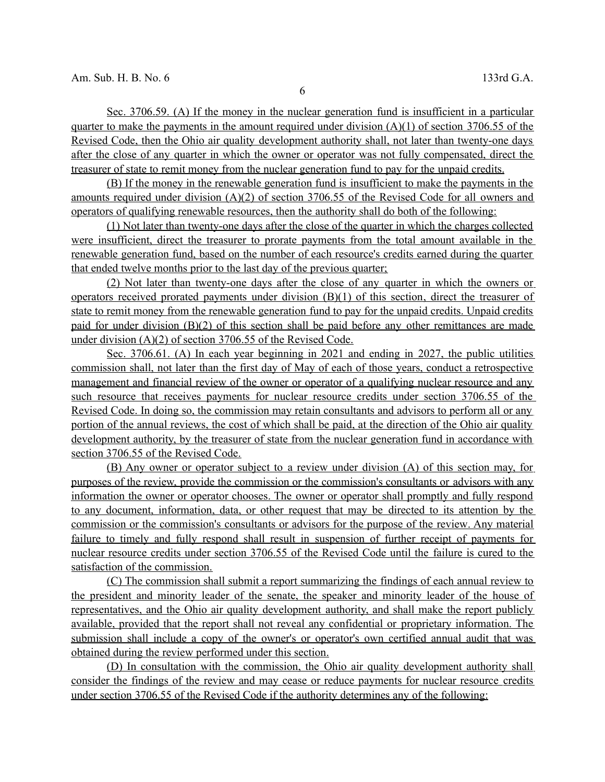Sec. 3706.59. (A) If the money in the nuclear generation fund is insufficient in a particular quarter to make the payments in the amount required under division  $(A)(1)$  of section 3706.55 of the Revised Code, then the Ohio air quality development authority shall, not later than twenty-one days after the close of any quarter in which the owner or operator was not fully compensated, direct the treasurer of state to remit money from the nuclear generation fund to pay for the unpaid credits.

 (B) If the money in the renewable generation fund is insufficient to make the payments in the amounts required under division (A)(2) of section 3706.55 of the Revised Code for all owners and operators of qualifying renewable resources, then the authority shall do both of the following:

(1) Not later than twenty-one days after the close of the quarter in which the charges collected were insufficient, direct the treasurer to prorate payments from the total amount available in the renewable generation fund, based on the number of each resource's credits earned during the quarter that ended twelve months prior to the last day of the previous quarter;

 (2) Not later than twenty-one days after the close of any quarter in which the owners or operators received prorated payments under division  $(B)(1)$  of this section, direct the treasurer of state to remit money from the renewable generation fund to pay for the unpaid credits. Unpaid credits paid for under division (B)(2) of this section shall be paid before any other remittances are made under division (A)(2) of section 3706.55 of the Revised Code.

Sec. 3706.61. (A) In each year beginning in 2021 and ending in 2027, the public utilities commission shall, not later than the first day of May of each of those years, conduct a retrospective management and financial review of the owner or operator of a qualifying nuclear resource and any such resource that receives payments for nuclear resource credits under section 3706.55 of the Revised Code. In doing so, the commission may retain consultants and advisors to perform all or any portion of the annual reviews, the cost of which shall be paid, at the direction of the Ohio air quality development authority, by the treasurer of state from the nuclear generation fund in accordance with section 3706.55 of the Revised Code.

 (B) Any owner or operator subject to a review under division (A) of this section may, for purposes of the review, provide the commission or the commission's consultants or advisors with any information the owner or operator chooses. The owner or operator shall promptly and fully respond to any document, information, data, or other request that may be directed to its attention by the commission or the commission's consultants or advisors for the purpose of the review . Any material failure to timely and fully respond shall result in suspension of further receipt of payments for nuclear resource credits under section 3706.55 of the Revised Code until the failure is cured to the satisfaction of the commission.

 (C) The commission shall submit a report summarizing the findings of each annual review to the president and minority leader of the senate, the speaker and minority leader of the house of representatives, and the Ohio air quality development authority, and shall make the report publicly available, provided that the report shall not reveal any confidential or proprietary information. The submission shall include a copy of the owner's or operator's own certified annual audit that was obtained during the review performed under this section.

 (D) In consultation with the commission, the Ohio air quality development authority shall consider the findings of the review and may cease or reduce payments for nuclear resource credits under section 3706.55 of the Revised Code if the authority determines any of the following: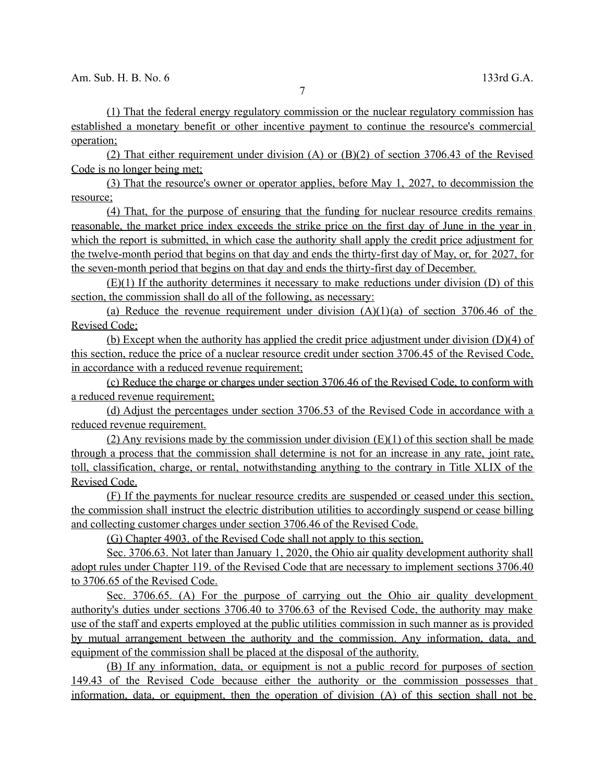(1) That the federal energy regulatory commission or the nuclear regulatory commission has established a monetary benefit or other incentive payment to continue the resource's commercial operation;

 (2) That either requirement under division (A) or (B)(2) of section 3706.43 of the Revised Code is no longer being met;

 (3) That the resource's owner or operator applies, before May 1, 2027 , to decommission the resource;

(4) That, for the purpose of ensuring that the funding for nuclear resource credits remains reasonable, the market price index exceeds the strike price on the first day of June in the year in which the report is submitted, in which case the authority shall apply the credit price adjustment for the twelve-month period that begins on that day and ends the thirty-first day of May, or, for 2027 , for the seven-month period that begins on that day and ends the thirty-first day of December.

 $(E)(1)$  If the authority determines it necessary to make reductions under division (D) of this section, the commission shall do all of the following, as necessary:

(a) Reduce the revenue requirement under division  $(A)(1)(a)$  of section 3706.46 of the Revised Code;

 (b) Except when the authority has applied the credit price adjustment under division (D)(4) of this section, reduce the price of a nuclear resource credit under section 3706.45 of the Revised Code, in accordance with a reduced revenue requirement;

 (c) Reduce the charge or charges under section 3706.46 of the Revised Code, to conform with a reduced revenue requirement;

 (d) Adjust the percentages under section 3706 .53 of the Revised Code in accordance with a reduced revenue requirement.

(2) Any revisions made by the commission under division  $(E)(1)$  of this section shall be made through a process that the commission shall determine is not for an increase in any rate, joint rate, toll, classification, charge, or rental, notwithstanding anything to the contrary in Title XLIX of the Revised Code.

 (F) If the payments for nuclear resource credits are suspended or ceased under this section, the commission shall instruct the electric distribution utilities to accordingly suspend or cease billing and collecting customer charges under section 3706.46 of the Revised Code.

(G) Chapter 4903. of the Revised Code shall not apply to this section.

Sec. 3706.63. Not later than January 1, 2020, the Ohio air quality development authority shall adopt rules under Chapter 119. of the Revised Code that are necessary to implement sections 3706.40 to 3706.65 of the Revised Code.

Sec. 3706.65. (A) For the purpose of carrying out the Ohio air quality development authority's duties under sections 3706.40 to 3706.63 of the Revised Code, the authority may make use of the staff and experts employed at the public utilities commission in such manner as is provided by mutual arrangement between the authority and the commission. Any information, data, and equipment of the commission shall be placed at the disposal of the authority.

 (B) If any information, data, or equipment is not a public record for purposes of section 149.43 of the Revised Code because either the authority or the commission possesses that information, data, or equipment, then the operation of division (A) of this section shall not be

7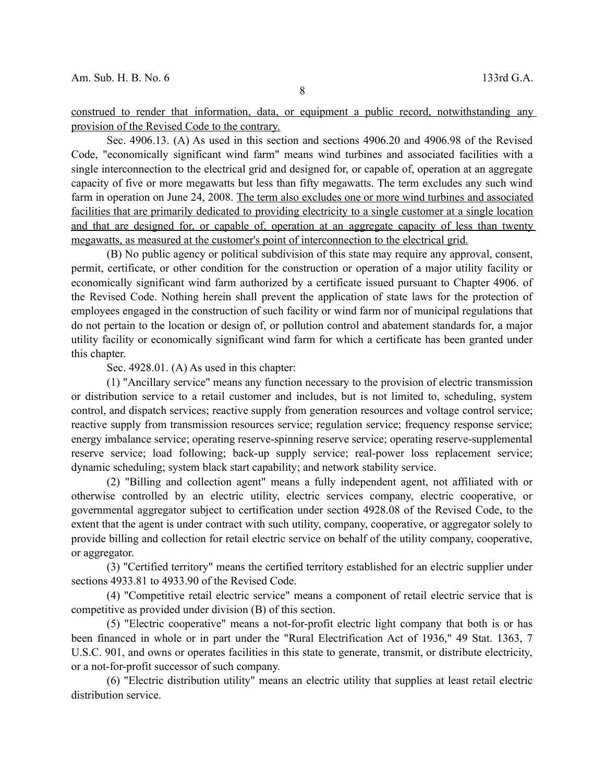construed to render that information, data, or equipment a public record, notwithstanding any provision of the Revised Code to the contrary.

Sec. 4906.13. (A) As used in this section and sections 4906.20 and 4906.98 of the Revised Code, "economically significant wind farm" means wind turbines and associated facilities with a single interconnection to the electrical grid and designed for, or capable of, operation at an aggregate capacity of five or more megawatts but less than fifty megawatts. The term excludes any such wind farm in operation on June 24, 2008. The term also excludes one or more wind turbines and associated facilities that are primarily dedicated to providing electricity to a single customer at a single location and that are designed for, or capable of, operation at an aggregate capacity of less than twenty megawatts, as measured at the customer's point of interconnection to the electrical grid.

(B) No public agency or political subdivision of this state may require any approval, consent, permit, certificate, or other condition for the construction or operation of a major utility facility or economically significant wind farm authorized by a certificate issued pursuant to Chapter 4906. of the Revised Code. Nothing herein shall prevent the application of state laws for the protection of employees engaged in the construction of such facility or wind farm nor of municipal regulations that do not pertain to the location or design of, or pollution control and abatement standards for, a major utility facility or economically significant wind farm for which a certificate has been granted under this chapter.

Sec. 4928.01. (A) As used in this chapter:

(1) "Ancillary service" means any function necessary to the provision of electric transmission or distribution service to a retail customer and includes, but is not limited to, scheduling, system control, and dispatch services; reactive supply from generation resources and voltage control service; reactive supply from transmission resources service; regulation service; frequency response service; energy imbalance service; operating reserve-spinning reserve service; operating reserve-supplemental reserve service; load following; back-up supply service; real-power loss replacement service; dynamic scheduling; system black start capability; and network stability service.

(2) "Billing and collection agent" means a fully independent agent, not affiliated with or otherwise controlled by an electric utility, electric services company, electric cooperative, or governmental aggregator subject to certification under section 4928.08 of the Revised Code, to the extent that the agent is under contract with such utility, company, cooperative, or aggregator solely to provide billing and collection for retail electric service on behalf of the utility company, cooperative, or aggregator.

(3) "Certified territory" means the certified territory established for an electric supplier under sections 4933.81 to 4933.90 of the Revised Code.

(4) "Competitive retail electric service" means a component of retail electric service that is competitive as provided under division (B) of this section.

(5) "Electric cooperative" means a not-for-profit electric light company that both is or has been financed in whole or in part under the "Rural Electrification Act of 1936," 49 Stat. 1363, 7 U.S.C. 901, and owns or operates facilities in this state to generate, transmit, or distribute electricity, or a not-for-profit successor of such company.

(6) "Electric distribution utility" means an electric utility that supplies at least retail electric distribution service.

8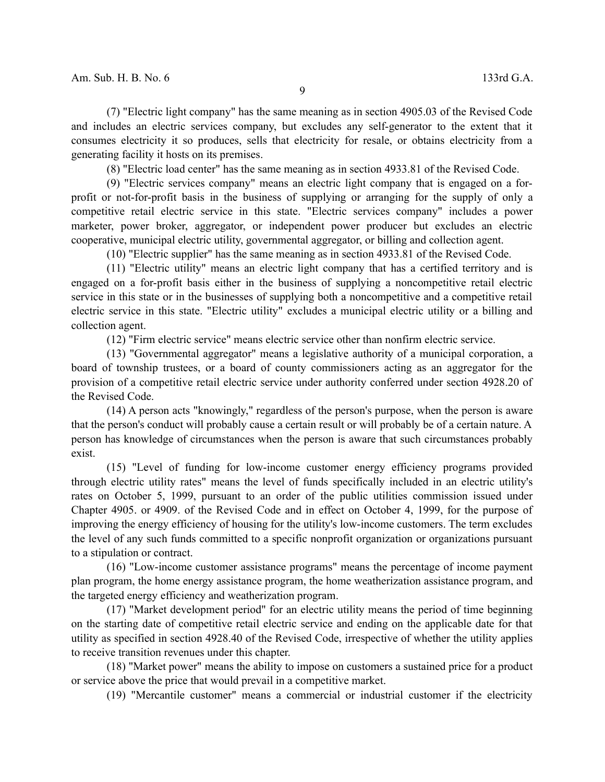(7) "Electric light company" has the same meaning as in section 4905.03 of the Revised Code and includes an electric services company, but excludes any self-generator to the extent that it consumes electricity it so produces, sells that electricity for resale, or obtains electricity from a generating facility it hosts on its premises.

(8) "Electric load center" has the same meaning as in section 4933.81 of the Revised Code.

(9) "Electric services company" means an electric light company that is engaged on a forprofit or not-for-profit basis in the business of supplying or arranging for the supply of only a competitive retail electric service in this state. "Electric services company" includes a power marketer, power broker, aggregator, or independent power producer but excludes an electric cooperative, municipal electric utility, governmental aggregator, or billing and collection agent.

(10) "Electric supplier" has the same meaning as in section 4933.81 of the Revised Code.

(11) "Electric utility" means an electric light company that has a certified territory and is engaged on a for-profit basis either in the business of supplying a noncompetitive retail electric service in this state or in the businesses of supplying both a noncompetitive and a competitive retail electric service in this state. "Electric utility" excludes a municipal electric utility or a billing and collection agent.

(12) "Firm electric service" means electric service other than nonfirm electric service.

(13) "Governmental aggregator" means a legislative authority of a municipal corporation, a board of township trustees, or a board of county commissioners acting as an aggregator for the provision of a competitive retail electric service under authority conferred under section 4928.20 of the Revised Code.

(14) A person acts "knowingly," regardless of the person's purpose, when the person is aware that the person's conduct will probably cause a certain result or will probably be of a certain nature. A person has knowledge of circumstances when the person is aware that such circumstances probably exist.

(15) "Level of funding for low-income customer energy efficiency programs provided through electric utility rates" means the level of funds specifically included in an electric utility's rates on October 5, 1999, pursuant to an order of the public utilities commission issued under Chapter 4905. or 4909. of the Revised Code and in effect on October 4, 1999, for the purpose of improving the energy efficiency of housing for the utility's low-income customers. The term excludes the level of any such funds committed to a specific nonprofit organization or organizations pursuant to a stipulation or contract.

(16) "Low-income customer assistance programs" means the percentage of income payment plan program, the home energy assistance program, the home weatherization assistance program, and the targeted energy efficiency and weatherization program.

(17) "Market development period" for an electric utility means the period of time beginning on the starting date of competitive retail electric service and ending on the applicable date for that utility as specified in section 4928.40 of the Revised Code, irrespective of whether the utility applies to receive transition revenues under this chapter.

(18) "Market power" means the ability to impose on customers a sustained price for a product or service above the price that would prevail in a competitive market.

(19) "Mercantile customer" means a commercial or industrial customer if the electricity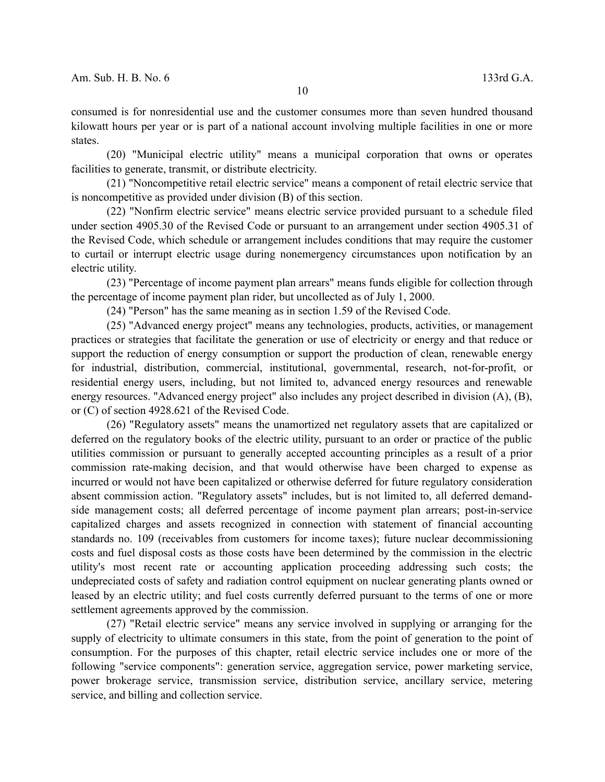consumed is for nonresidential use and the customer consumes more than seven hundred thousand kilowatt hours per year or is part of a national account involving multiple facilities in one or more states.

(20) "Municipal electric utility" means a municipal corporation that owns or operates facilities to generate, transmit, or distribute electricity.

(21) "Noncompetitive retail electric service" means a component of retail electric service that is noncompetitive as provided under division (B) of this section.

(22) "Nonfirm electric service" means electric service provided pursuant to a schedule filed under section 4905.30 of the Revised Code or pursuant to an arrangement under section 4905.31 of the Revised Code, which schedule or arrangement includes conditions that may require the customer to curtail or interrupt electric usage during nonemergency circumstances upon notification by an electric utility.

(23) "Percentage of income payment plan arrears" means funds eligible for collection through the percentage of income payment plan rider, but uncollected as of July 1, 2000.

(24) "Person" has the same meaning as in section 1.59 of the Revised Code.

(25) "Advanced energy project" means any technologies, products, activities, or management practices or strategies that facilitate the generation or use of electricity or energy and that reduce or support the reduction of energy consumption or support the production of clean, renewable energy for industrial, distribution, commercial, institutional, governmental, research, not-for-profit, or residential energy users, including, but not limited to, advanced energy resources and renewable energy resources. "Advanced energy project" also includes any project described in division (A), (B), or (C) of section 4928.621 of the Revised Code.

(26) "Regulatory assets" means the unamortized net regulatory assets that are capitalized or deferred on the regulatory books of the electric utility, pursuant to an order or practice of the public utilities commission or pursuant to generally accepted accounting principles as a result of a prior commission rate-making decision, and that would otherwise have been charged to expense as incurred or would not have been capitalized or otherwise deferred for future regulatory consideration absent commission action. "Regulatory assets" includes, but is not limited to, all deferred demandside management costs; all deferred percentage of income payment plan arrears; post-in-service capitalized charges and assets recognized in connection with statement of financial accounting standards no. 109 (receivables from customers for income taxes); future nuclear decommissioning costs and fuel disposal costs as those costs have been determined by the commission in the electric utility's most recent rate or accounting application proceeding addressing such costs; the undepreciated costs of safety and radiation control equipment on nuclear generating plants owned or leased by an electric utility; and fuel costs currently deferred pursuant to the terms of one or more settlement agreements approved by the commission.

(27) "Retail electric service" means any service involved in supplying or arranging for the supply of electricity to ultimate consumers in this state, from the point of generation to the point of consumption. For the purposes of this chapter, retail electric service includes one or more of the following "service components": generation service, aggregation service, power marketing service, power brokerage service, transmission service, distribution service, ancillary service, metering service, and billing and collection service.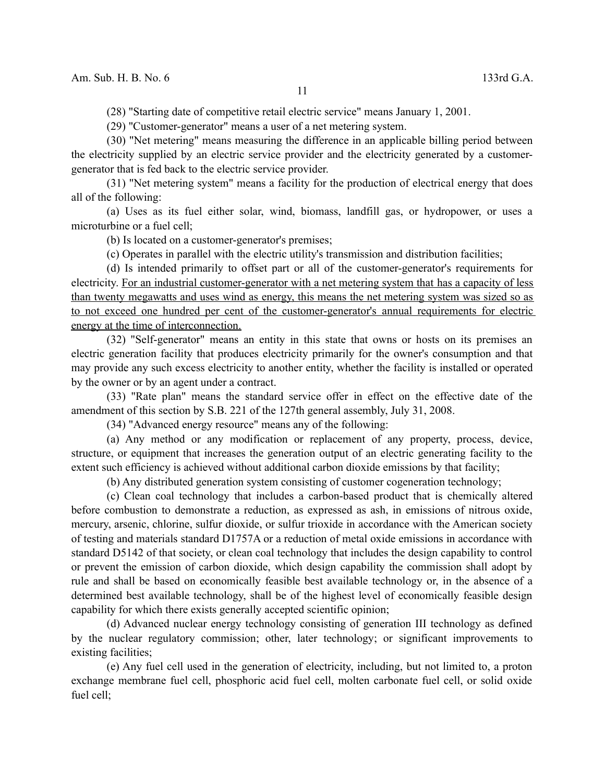(28) "Starting date of competitive retail electric service" means January 1, 2001.

(29) "Customer-generator" means a user of a net metering system.

(30) "Net metering" means measuring the difference in an applicable billing period between the electricity supplied by an electric service provider and the electricity generated by a customergenerator that is fed back to the electric service provider.

(31) "Net metering system" means a facility for the production of electrical energy that does all of the following:

(a) Uses as its fuel either solar, wind, biomass, landfill gas, or hydropower, or uses a microturbine or a fuel cell;

(b) Is located on a customer-generator's premises;

(c) Operates in parallel with the electric utility's transmission and distribution facilities;

(d) Is intended primarily to offset part or all of the customer-generator's requirements for electricity. For an industrial customer-generator with a net metering system that has a capacity of less than twenty megawatts and uses wind as energy, this means the net metering system was sized so as to not exceed one hundred per cent of the customer-generator's annual requirements for electric energy at the time of interconnection.

(32) "Self-generator" means an entity in this state that owns or hosts on its premises an electric generation facility that produces electricity primarily for the owner's consumption and that may provide any such excess electricity to another entity, whether the facility is installed or operated by the owner or by an agent under a contract.

(33) "Rate plan" means the standard service offer in effect on the effective date of the amendment of this section by S.B. 221 of the 127th general assembly, July 31, 2008.

(34) "Advanced energy resource" means any of the following:

(a) Any method or any modification or replacement of any property, process, device, structure, or equipment that increases the generation output of an electric generating facility to the extent such efficiency is achieved without additional carbon dioxide emissions by that facility;

(b) Any distributed generation system consisting of customer cogeneration technology;

(c) Clean coal technology that includes a carbon-based product that is chemically altered before combustion to demonstrate a reduction, as expressed as ash, in emissions of nitrous oxide, mercury, arsenic, chlorine, sulfur dioxide, or sulfur trioxide in accordance with the American society of testing and materials standard D1757A or a reduction of metal oxide emissions in accordance with standard D5142 of that society, or clean coal technology that includes the design capability to control or prevent the emission of carbon dioxide, which design capability the commission shall adopt by rule and shall be based on economically feasible best available technology or, in the absence of a determined best available technology, shall be of the highest level of economically feasible design capability for which there exists generally accepted scientific opinion;

(d) Advanced nuclear energy technology consisting of generation III technology as defined by the nuclear regulatory commission; other, later technology; or significant improvements to existing facilities;

(e) Any fuel cell used in the generation of electricity, including, but not limited to, a proton exchange membrane fuel cell, phosphoric acid fuel cell, molten carbonate fuel cell, or solid oxide fuel cell;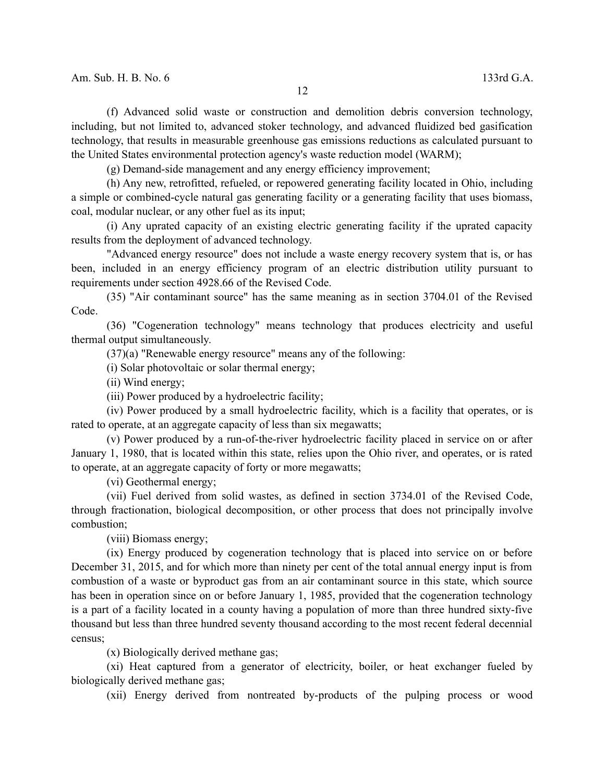(f) Advanced solid waste or construction and demolition debris conversion technology, including, but not limited to, advanced stoker technology, and advanced fluidized bed gasification technology, that results in measurable greenhouse gas emissions reductions as calculated pursuant to the United States environmental protection agency's waste reduction model (WARM);

(g) Demand-side management and any energy efficiency improvement;

(h) Any new, retrofitted, refueled, or repowered generating facility located in Ohio, including a simple or combined-cycle natural gas generating facility or a generating facility that uses biomass, coal, modular nuclear, or any other fuel as its input;

(i) Any uprated capacity of an existing electric generating facility if the uprated capacity results from the deployment of advanced technology.

"Advanced energy resource" does not include a waste energy recovery system that is, or has been, included in an energy efficiency program of an electric distribution utility pursuant to requirements under section 4928.66 of the Revised Code.

(35) "Air contaminant source" has the same meaning as in section 3704.01 of the Revised Code.

(36) "Cogeneration technology" means technology that produces electricity and useful thermal output simultaneously.

(37)(a) "Renewable energy resource" means any of the following:

(i) Solar photovoltaic or solar thermal energy;

(ii) Wind energy;

(iii) Power produced by a hydroelectric facility;

(iv) Power produced by a small hydroelectric facility, which is a facility that operates, or is rated to operate, at an aggregate capacity of less than six megawatts;

(v) Power produced by a run-of-the-river hydroelectric facility placed in service on or after January 1, 1980, that is located within this state, relies upon the Ohio river, and operates, or is rated to operate, at an aggregate capacity of forty or more megawatts;

(vi) Geothermal energy;

(vii) Fuel derived from solid wastes, as defined in section 3734.01 of the Revised Code, through fractionation, biological decomposition, or other process that does not principally involve combustion;

(viii) Biomass energy;

(ix) Energy produced by cogeneration technology that is placed into service on or before December 31, 2015, and for which more than ninety per cent of the total annual energy input is from combustion of a waste or byproduct gas from an air contaminant source in this state, which source has been in operation since on or before January 1, 1985, provided that the cogeneration technology is a part of a facility located in a county having a population of more than three hundred sixty-five thousand but less than three hundred seventy thousand according to the most recent federal decennial census;

(x) Biologically derived methane gas;

(xi) Heat captured from a generator of electricity, boiler, or heat exchanger fueled by biologically derived methane gas;

(xii) Energy derived from nontreated by-products of the pulping process or wood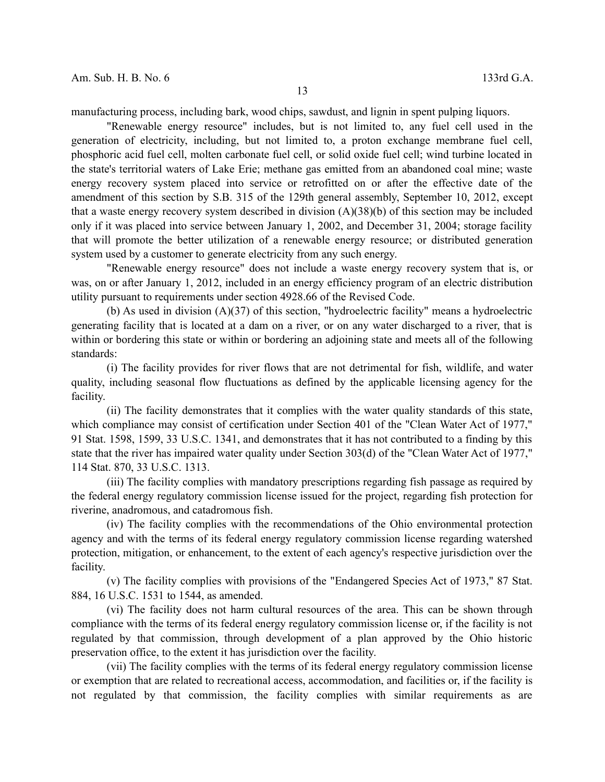manufacturing process, including bark, wood chips, sawdust, and lignin in spent pulping liquors.

"Renewable energy resource" includes, but is not limited to, any fuel cell used in the generation of electricity, including, but not limited to, a proton exchange membrane fuel cell, phosphoric acid fuel cell, molten carbonate fuel cell, or solid oxide fuel cell; wind turbine located in the state's territorial waters of Lake Erie; methane gas emitted from an abandoned coal mine; waste energy recovery system placed into service or retrofitted on or after the effective date of the amendment of this section by S.B. 315 of the 129th general assembly, September 10, 2012, except that a waste energy recovery system described in division (A)(38)(b) of this section may be included only if it was placed into service between January 1, 2002, and December 31, 2004; storage facility that will promote the better utilization of a renewable energy resource; or distributed generation system used by a customer to generate electricity from any such energy.

"Renewable energy resource" does not include a waste energy recovery system that is, or was, on or after January 1, 2012, included in an energy efficiency program of an electric distribution utility pursuant to requirements under section 4928.66 of the Revised Code.

(b) As used in division (A)(37) of this section, "hydroelectric facility" means a hydroelectric generating facility that is located at a dam on a river, or on any water discharged to a river, that is within or bordering this state or within or bordering an adjoining state and meets all of the following standards:

(i) The facility provides for river flows that are not detrimental for fish, wildlife, and water quality, including seasonal flow fluctuations as defined by the applicable licensing agency for the facility.

(ii) The facility demonstrates that it complies with the water quality standards of this state, which compliance may consist of certification under Section 401 of the "Clean Water Act of 1977," 91 Stat. 1598, 1599, 33 U.S.C. 1341, and demonstrates that it has not contributed to a finding by this state that the river has impaired water quality under Section 303(d) of the "Clean Water Act of 1977," 114 Stat. 870, 33 U.S.C. 1313.

(iii) The facility complies with mandatory prescriptions regarding fish passage as required by the federal energy regulatory commission license issued for the project, regarding fish protection for riverine, anadromous, and catadromous fish.

(iv) The facility complies with the recommendations of the Ohio environmental protection agency and with the terms of its federal energy regulatory commission license regarding watershed protection, mitigation, or enhancement, to the extent of each agency's respective jurisdiction over the facility.

(v) The facility complies with provisions of the "Endangered Species Act of 1973," 87 Stat. 884, 16 U.S.C. 1531 to 1544, as amended.

(vi) The facility does not harm cultural resources of the area. This can be shown through compliance with the terms of its federal energy regulatory commission license or, if the facility is not regulated by that commission, through development of a plan approved by the Ohio historic preservation office, to the extent it has jurisdiction over the facility.

(vii) The facility complies with the terms of its federal energy regulatory commission license or exemption that are related to recreational access, accommodation, and facilities or, if the facility is not regulated by that commission, the facility complies with similar requirements as are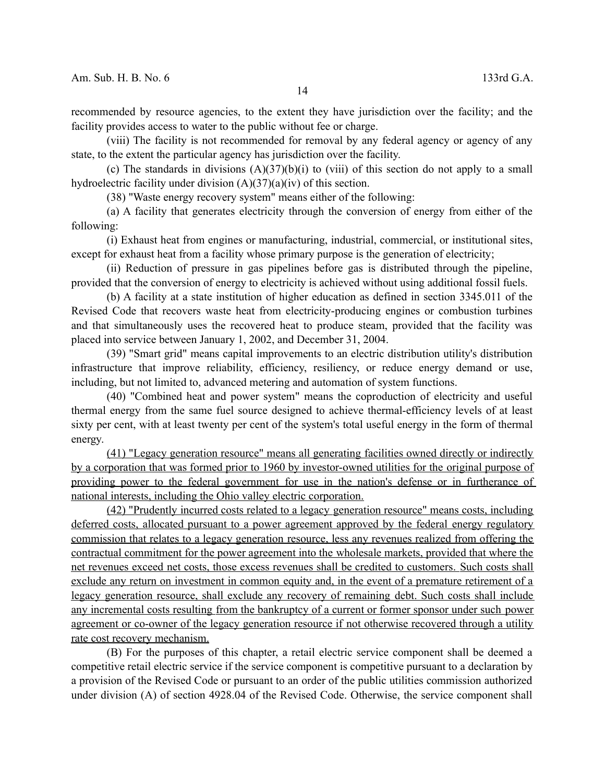recommended by resource agencies, to the extent they have jurisdiction over the facility; and the facility provides access to water to the public without fee or charge.

(viii) The facility is not recommended for removal by any federal agency or agency of any state, to the extent the particular agency has jurisdiction over the facility.

(c) The standards in divisions  $(A)(37)(b)(i)$  to (viii) of this section do not apply to a small hydroelectric facility under division  $(A)(37)(a)(iv)$  of this section.

(38) "Waste energy recovery system" means either of the following:

(a) A facility that generates electricity through the conversion of energy from either of the following:

(i) Exhaust heat from engines or manufacturing, industrial, commercial, or institutional sites, except for exhaust heat from a facility whose primary purpose is the generation of electricity;

(ii) Reduction of pressure in gas pipelines before gas is distributed through the pipeline, provided that the conversion of energy to electricity is achieved without using additional fossil fuels.

(b) A facility at a state institution of higher education as defined in section 3345.011 of the Revised Code that recovers waste heat from electricity-producing engines or combustion turbines and that simultaneously uses the recovered heat to produce steam, provided that the facility was placed into service between January 1, 2002, and December 31, 2004.

(39) "Smart grid" means capital improvements to an electric distribution utility's distribution infrastructure that improve reliability, efficiency, resiliency, or reduce energy demand or use, including, but not limited to, advanced metering and automation of system functions.

(40) "Combined heat and power system" means the coproduction of electricity and useful thermal energy from the same fuel source designed to achieve thermal-efficiency levels of at least sixty per cent, with at least twenty per cent of the system's total useful energy in the form of thermal energy.

 (41) "Legacy generation resource" means all generating facilities owned directly or indirectly by a corporation that was formed prior to 1960 by investor-owned utilities for the original purpose of providing power to the federal government for use in the nation's defense or in furtherance of national interests, including the Ohio valley electric corporation.

 (42) "Prudently incurred costs related to a legacy generation resource" means costs, including deferred costs, allocated pursuant to a power agreement approved by the federal energy regulatory commission that relates to a legacy generation resource, less any revenues realized from offering the contractual commitment for the power agreement into the wholesale markets, provided that where the net revenues exceed net costs, those excess revenues shall be credited to customers. Such costs shall exclude any return on investment in common equity and, in the event of a premature retirement of a legacy generation resource, shall exclude any recovery of remaining debt. Such costs shall include any incremental costs resulting from the bankruptcy of a current or former sponsor under such power agreement or co-owner of the legacy generation resource if not otherwise recovered through a utility rate cost recovery mechanism.

(B) For the purposes of this chapter, a retail electric service component shall be deemed a competitive retail electric service if the service component is competitive pursuant to a declaration by a provision of the Revised Code or pursuant to an order of the public utilities commission authorized under division (A) of section 4928.04 of the Revised Code. Otherwise, the service component shall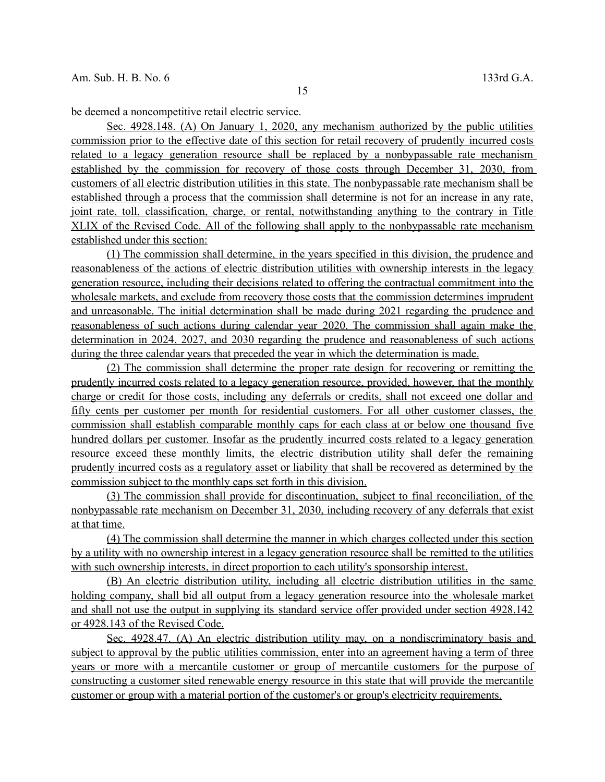be deemed a noncompetitive retail electric service.

 Sec. 4928.148. (A) On January 1, 2020, any mechanism authorized by the public utilities commission prior to the effective date of this section for retail recovery of prudently incurred costs related to a legacy generation resource shall be replaced by a nonbypassable rate mechanism established by the commission for recovery of those costs through December 31, 2030, from customers of all electric distribution utilities in this state. The nonbypassable rate mechanism shall be established through a process that the commission shall determine is not for an increase in any rate, joint rate, toll, classification, charge, or rental, notwithstanding anything to the contrary in Title XLIX of the Revised Code. All of the following shall apply to the nonbypassable rate mechanism established under this section:

 (1) The commission shall determine, in the years specified in this division , the prudence and reasonableness of the actions of electric distribution utilities with ownership interests in the legacy generation resource, including their decisions related to offering the contractual commitment into the wholesale markets, and exclude from recovery those costs that the commission determines imprudent and unreasonable. The initial determination shall be made during 2021 regarding the prudence and reasonableness of such actions during calendar year 2020. The commission shall again make the determination in 2024, 2027, and 2030 regarding the prudence and reasonableness of such actions during the three calendar years that preceded the year in which the determination is made.

 (2) The commission shall determine the proper rate design for recovering or remitting the prudently incurred costs related to a legacy generation resource, provided, however, that the monthly charge or credit for those costs, including any deferrals or credits, shall not exceed one dollar and fifty cents per customer per month for residential customers. For all other customer classes, the commission shall establish comparable monthly caps for each class at or below one thousand five hundred dollars per customer. Insofar as the prudently incurred costs related to a legacy generation resource exceed these monthly limits, the electric distribution utility shall defer the remaining prudently incurred costs as a regulatory asset or liability that shall be recovered as determined by the commission subject to the monthly caps set forth in this division.

 (3) The commission shall provide for discontinuation, subject to final reconciliation, of the nonbypassable rate mechanism on December 31, 2030, including recovery of any deferrals that exist at that time.

 (4) The commission shall determine the manner in which charges collected under this section by a utility with no ownership interest in a legacy generation resource shall be remitted to the utilities with such ownership interests, in direct proportion to each utility's sponsorship interest.

 (B) An electric distribution utility, including all electric distribution utilities in the same holding company, shall bid all output from a legacy generation resource into the wholesale market and shall not use the output in supplying its standard service offer provided under section 4928.142 or 4928.143 of the Revised Code.

Sec. 4928.47. (A) An electric distribution utility may, on a nondiscriminatory basis and subject to approval by the public utilities commission, enter into an agreement having a term of three years or more with a mercantile customer or group of mercantile customers for the purpose of constructing a customer sited renewable energy resource in this state that will provide the mercantile customer or group with a material portion of the customer's or group's electricity requirements.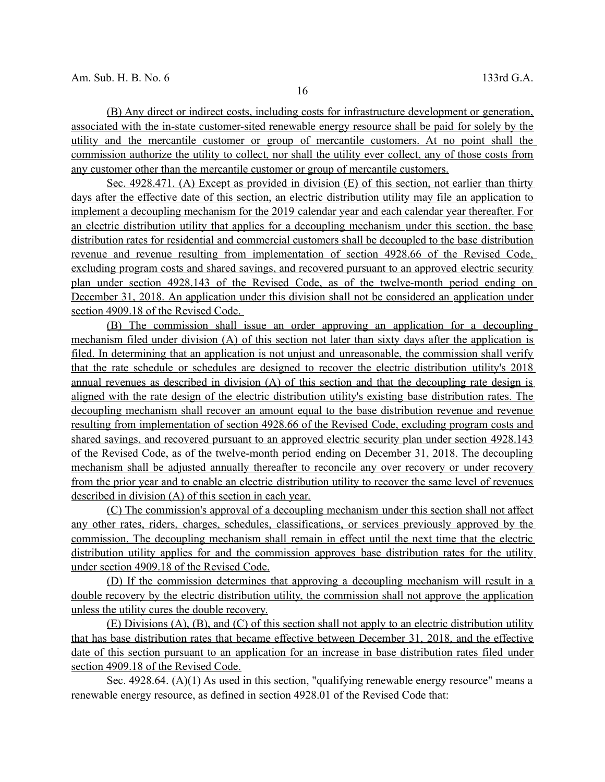(B) Any direct or indirect costs, including costs for infrastructure development or generation, associated with the in-state customer-sited renewable energy resource shall be paid for solely by the utility and the mercantile customer or group of mercantile customers. At no point shall the commission authorize the utility to collect, nor shall the utility ever collect, any of those costs from any customer other than the mercantile customer or group of mercantile customers.

Sec. 4928.471. (A) Except as provided in division (E) of this section, not earlier than thirty days after the effective date of this section, an electric distribution utility may file an application to implement a decoupling mechanism for the 2019 calendar year and each calendar year thereafter. For an electric distribution utility that applies for a decoupling mechanism under this section, the base distribution rates for residential and commercial customers shall be decoupled to the base distribution revenue and revenue resulting from implementation of section 4928.66 of the Revised Code, excluding program costs and shared savings, and recovered pursuant to an approved electric security plan under section 4928.143 of the Revised Code, as of the twelve-month period ending on December 31, 2018. An application under this division shall not be considered an application under section 4909.18 of the Revised Code.

 (B) The commission shall issue an order approving an application for a decoupling mechanism filed under division (A) of this section not later than sixty days after the application is filed. In determining that an application is not unjust and unreasonable, the commission shall verify that the rate schedule or schedules are designed to recover the electric distribution utility's 2018 annual revenues as described in division (A) of this section and that the decoupling rate design is aligned with the rate design of the electric distribution utility's existing base distribution rates. The decoupling mechanism shall recover an amount equal to the base distribution revenue and revenue resulting from implementation of section 4928.66 of the Revised Code, excluding program costs and shared savings, and recovered pursuant to an approved electric security plan under section 4928.143 of the Revised Code, as of the twelve-month period ending on December 31, 2018. The decoupling mechanism shall be adjusted annually thereafter to reconcile any over recovery or under recovery from the prior year and to enable an electric distribution utility to recover the same level of revenues described in division (A) of this section in each year.

 (C) The commission's approval of a decoupling mechanism under this section shall not affect any other rates, riders, charges, schedules, classifications, or services previously approved by the commission. The decoupling mechanism shall remain in effect until the next time that the electric distribution utility applies for and the commission approves base distribution rates for the utility under section 4909.18 of the Revised Code.

 (D) If the commission determines that approving a decoupling mechanism will result in a double recovery by the electric distribution utility, the commission shall not approve the application unless the utility cures the double recovery.

 (E) Divisions (A), (B), and (C) of this section shall not apply to an electric distribution utility that has base distribution rates that became effective between December 31, 2018, and the effective date of this section pursuant to an application for an increase in base distribution rates filed under section 4909.18 of the Revised Code.

Sec. 4928.64. (A)(1) As used in this section, "qualifying renewable energy resource" means a renewable energy resource, as defined in section 4928.01 of the Revised Code that: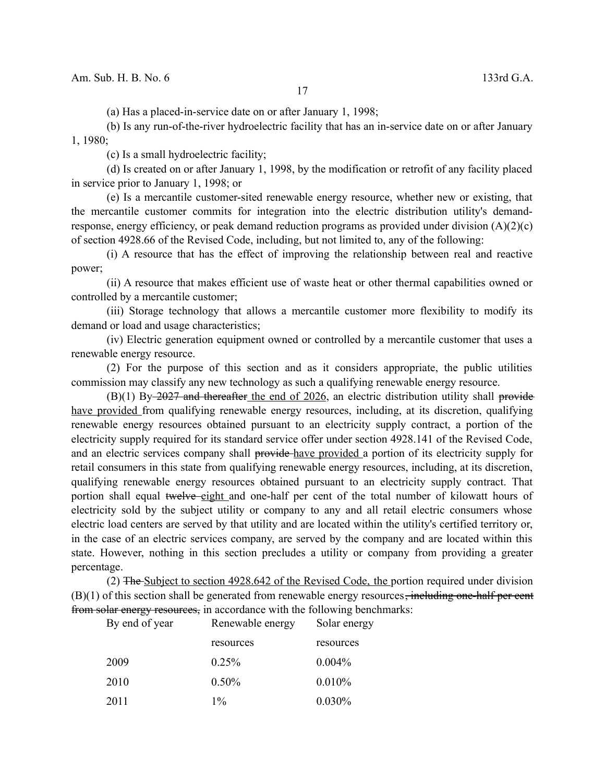(a) Has a placed-in-service date on or after January 1, 1998;

(b) Is any run-of-the-river hydroelectric facility that has an in-service date on or after January 1, 1980;

(c) Is a small hydroelectric facility;

(d) Is created on or after January 1, 1998, by the modification or retrofit of any facility placed in service prior to January 1, 1998; or

(e) Is a mercantile customer-sited renewable energy resource, whether new or existing, that the mercantile customer commits for integration into the electric distribution utility's demandresponse, energy efficiency, or peak demand reduction programs as provided under division  $(A)(2)(c)$ of section 4928.66 of the Revised Code, including, but not limited to, any of the following:

(i) A resource that has the effect of improving the relationship between real and reactive power;

(ii) A resource that makes efficient use of waste heat or other thermal capabilities owned or controlled by a mercantile customer;

(iii) Storage technology that allows a mercantile customer more flexibility to modify its demand or load and usage characteristics;

(iv) Electric generation equipment owned or controlled by a mercantile customer that uses a renewable energy resource.

(2) For the purpose of this section and as it considers appropriate, the public utilities commission may classify any new technology as such a qualifying renewable energy resource.

 $(B)(1)$  By-2027 and thereafter the end of 2026, an electric distribution utility shall provide have provided from qualifying renewable energy resources, including, at its discretion, qualifying renewable energy resources obtained pursuant to an electricity supply contract, a portion of the electricity supply required for its standard service offer under section 4928.141 of the Revised Code, and an electric services company shall provide have provided a portion of its electricity supply for retail consumers in this state from qualifying renewable energy resources, including, at its discretion, qualifying renewable energy resources obtained pursuant to an electricity supply contract. That portion shall equal twelve eight and one-half per cent of the total number of kilowatt hours of electricity sold by the subject utility or company to any and all retail electric consumers whose electric load centers are served by that utility and are located within the utility's certified territory or, in the case of an electric services company, are served by the company and are located within this state. However, nothing in this section precludes a utility or company from providing a greater percentage.

(2) The Subject to section 4928.642 of the Revised Code, the portion required under division  $(B)(1)$  of this section shall be generated from renewable energy resources<del>, including one-half per cent</del> from solar energy resources, in accordance with the following benchmarks:

| By end of year | Renewable energy | Solar energy |
|----------------|------------------|--------------|
|                | resources        | resources    |
| 2009           | $0.25\%$         | $0.004\%$    |
| 2010           | $0.50\%$         | 0.010%       |
| 2011           | $1\%$            | $0.030\%$    |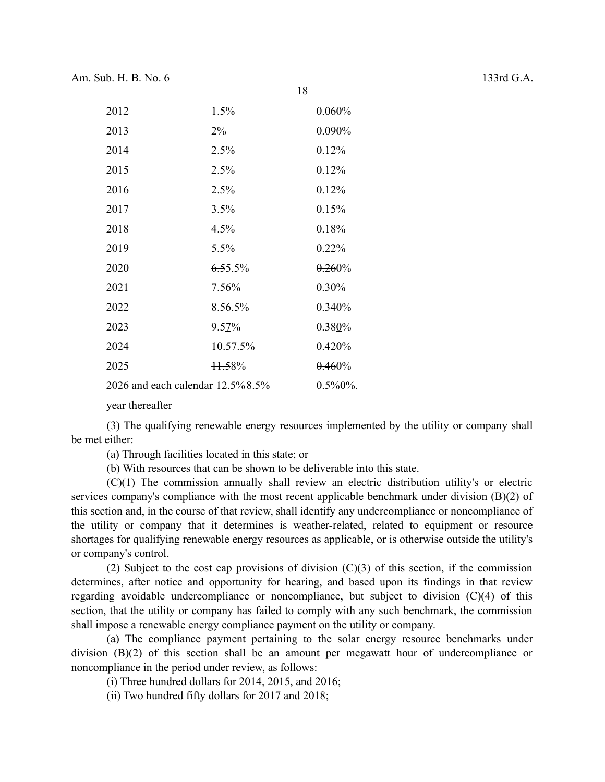| 2012                                 | 1.5%        | 0.060%       |
|--------------------------------------|-------------|--------------|
| 2013                                 | $2\%$       | $0.090\%$    |
| 2014                                 | 2.5%        | 0.12%        |
| 2015                                 | 2.5%        | 0.12%        |
| 2016                                 | 2.5%        | 0.12%        |
| 2017                                 | 3.5%        | 0.15%        |
| 2018                                 | 4.5%        | 0.18%        |
| 2019                                 | 5.5%        | $0.22\%$     |
| 2020                                 | $6.55.5\%$  | 0.260%       |
| 2021                                 | 7.56%       | $0.30\%$     |
| 2022                                 | 8.56.5%     | 0.340%       |
| 2023                                 | $9.57\%$    | $0.380\%$    |
| 2024                                 | $+0.57.5\%$ | 0.420%       |
| 2025                                 | $+1.58%$    | $0.460\%$    |
| 2026 and each calendar $12.5\%8.5\%$ |             | $0.5\%0\%$ . |

## vear thereafter

(3) The qualifying renewable energy resources implemented by the utility or company shall be met either:

18

(a) Through facilities located in this state; or

(b) With resources that can be shown to be deliverable into this state.

(C)(1) The commission annually shall review an electric distribution utility's or electric services company's compliance with the most recent applicable benchmark under division (B)(2) of this section and, in the course of that review, shall identify any undercompliance or noncompliance of the utility or company that it determines is weather-related, related to equipment or resource shortages for qualifying renewable energy resources as applicable, or is otherwise outside the utility's or company's control.

(2) Subject to the cost cap provisions of division  $(C)(3)$  of this section, if the commission determines, after notice and opportunity for hearing, and based upon its findings in that review regarding avoidable undercompliance or noncompliance, but subject to division (C)(4) of this section, that the utility or company has failed to comply with any such benchmark, the commission shall impose a renewable energy compliance payment on the utility or company.

(a) The compliance payment pertaining to the solar energy resource benchmarks under division (B)(2) of this section shall be an amount per megawatt hour of undercompliance or noncompliance in the period under review, as follows:

(i) Three hundred dollars for 2014, 2015, and 2016;

(ii) Two hundred fifty dollars for 2017 and 2018;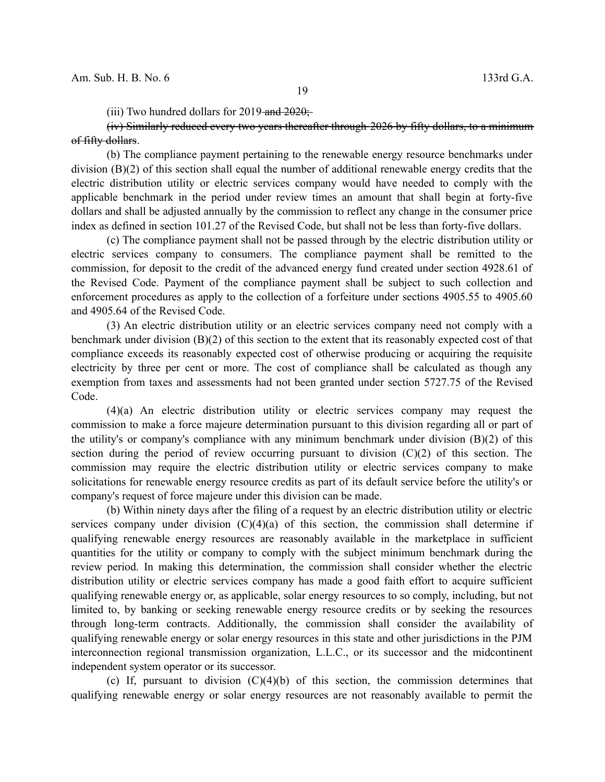(iii) Two hundred dollars for  $2019$ -and  $2020$ ;

(iv) Similarly reduced every two years thereafter through 2026 by fifty dollars, to a minimum of fifty dollars.

(b) The compliance payment pertaining to the renewable energy resource benchmarks under division (B)(2) of this section shall equal the number of additional renewable energy credits that the electric distribution utility or electric services company would have needed to comply with the applicable benchmark in the period under review times an amount that shall begin at forty-five dollars and shall be adjusted annually by the commission to reflect any change in the consumer price index as defined in section 101.27 of the Revised Code, but shall not be less than forty-five dollars.

(c) The compliance payment shall not be passed through by the electric distribution utility or electric services company to consumers. The compliance payment shall be remitted to the commission, for deposit to the credit of the advanced energy fund created under section 4928.61 of the Revised Code. Payment of the compliance payment shall be subject to such collection and enforcement procedures as apply to the collection of a forfeiture under sections 4905.55 to 4905.60 and 4905.64 of the Revised Code.

(3) An electric distribution utility or an electric services company need not comply with a benchmark under division (B)(2) of this section to the extent that its reasonably expected cost of that compliance exceeds its reasonably expected cost of otherwise producing or acquiring the requisite electricity by three per cent or more. The cost of compliance shall be calculated as though any exemption from taxes and assessments had not been granted under section 5727.75 of the Revised Code.

(4)(a) An electric distribution utility or electric services company may request the commission to make a force majeure determination pursuant to this division regarding all or part of the utility's or company's compliance with any minimum benchmark under division  $(B)(2)$  of this section during the period of review occurring pursuant to division  $(C)(2)$  of this section. The commission may require the electric distribution utility or electric services company to make solicitations for renewable energy resource credits as part of its default service before the utility's or company's request of force majeure under this division can be made.

(b) Within ninety days after the filing of a request by an electric distribution utility or electric services company under division  $(C)(4)(a)$  of this section, the commission shall determine if qualifying renewable energy resources are reasonably available in the marketplace in sufficient quantities for the utility or company to comply with the subject minimum benchmark during the review period. In making this determination, the commission shall consider whether the electric distribution utility or electric services company has made a good faith effort to acquire sufficient qualifying renewable energy or, as applicable, solar energy resources to so comply, including, but not limited to, by banking or seeking renewable energy resource credits or by seeking the resources through long-term contracts. Additionally, the commission shall consider the availability of qualifying renewable energy or solar energy resources in this state and other jurisdictions in the PJM interconnection regional transmission organization, L.L.C., or its successor and the midcontinent independent system operator or its successor.

(c) If, pursuant to division  $(C)(4)(b)$  of this section, the commission determines that qualifying renewable energy or solar energy resources are not reasonably available to permit the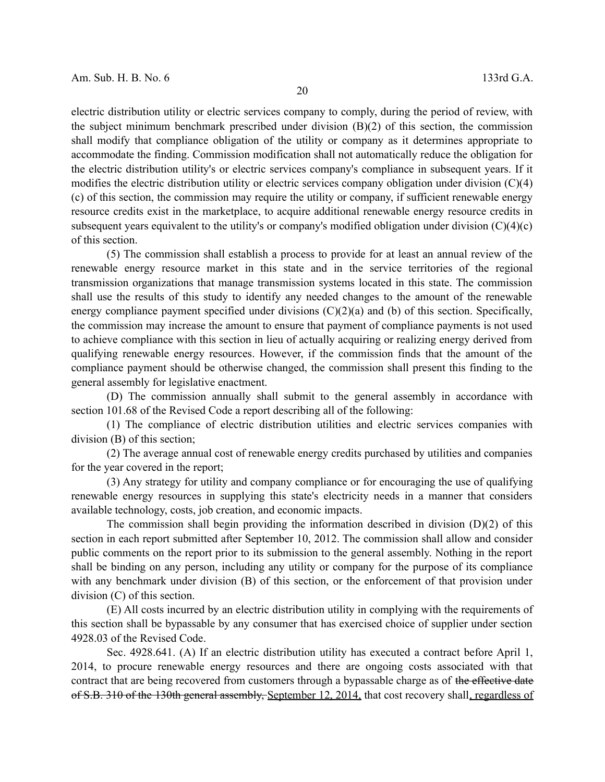electric distribution utility or electric services company to comply, during the period of review, with the subject minimum benchmark prescribed under division (B)(2) of this section, the commission shall modify that compliance obligation of the utility or company as it determines appropriate to accommodate the finding. Commission modification shall not automatically reduce the obligation for the electric distribution utility's or electric services company's compliance in subsequent years. If it modifies the electric distribution utility or electric services company obligation under division (C)(4) (c) of this section, the commission may require the utility or company, if sufficient renewable energy resource credits exist in the marketplace, to acquire additional renewable energy resource credits in subsequent years equivalent to the utility's or company's modified obligation under division (C)(4)(c) of this section.

(5) The commission shall establish a process to provide for at least an annual review of the renewable energy resource market in this state and in the service territories of the regional transmission organizations that manage transmission systems located in this state. The commission shall use the results of this study to identify any needed changes to the amount of the renewable energy compliance payment specified under divisions  $(C)(2)(a)$  and (b) of this section. Specifically, the commission may increase the amount to ensure that payment of compliance payments is not used to achieve compliance with this section in lieu of actually acquiring or realizing energy derived from qualifying renewable energy resources. However, if the commission finds that the amount of the compliance payment should be otherwise changed, the commission shall present this finding to the general assembly for legislative enactment.

(D) The commission annually shall submit to the general assembly in accordance with section 101.68 of the Revised Code a report describing all of the following:

(1) The compliance of electric distribution utilities and electric services companies with division (B) of this section;

(2) The average annual cost of renewable energy credits purchased by utilities and companies for the year covered in the report;

(3) Any strategy for utility and company compliance or for encouraging the use of qualifying renewable energy resources in supplying this state's electricity needs in a manner that considers available technology, costs, job creation, and economic impacts.

The commission shall begin providing the information described in division (D)(2) of this section in each report submitted after September 10, 2012. The commission shall allow and consider public comments on the report prior to its submission to the general assembly. Nothing in the report shall be binding on any person, including any utility or company for the purpose of its compliance with any benchmark under division (B) of this section, or the enforcement of that provision under division (C) of this section.

(E) All costs incurred by an electric distribution utility in complying with the requirements of this section shall be bypassable by any consumer that has exercised choice of supplier under section 4928.03 of the Revised Code.

Sec. 4928.641. (A) If an electric distribution utility has executed a contract before April 1, 2014, to procure renewable energy resources and there are ongoing costs associated with that contract that are being recovered from customers through a bypassable charge as of the effective date of S.B. 310 of the 130th general assembly, September 12, 2014, that cost recovery shall, regardless of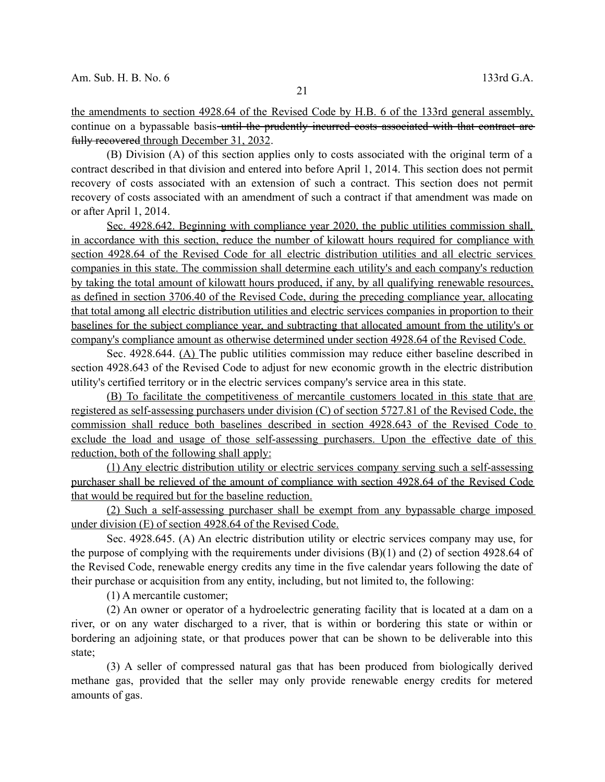the amendments to section 4928.64 of the Revised Code by H.B. 6 of the 133rd general assembly, continue on a bypassable basis-until the prudently incurred costs associated with that contract are fully recovered through December 31, 2032.

(B) Division (A) of this section applies only to costs associated with the original term of a contract described in that division and entered into before April 1, 2014. This section does not permit recovery of costs associated with an extension of such a contract. This section does not permit recovery of costs associated with an amendment of such a contract if that amendment was made on or after April 1, 2014.

 Sec. 4928.642. Beginning with compliance year 2020, the public utilities commission shall, in accordance with this section, reduce the number of kilowatt hours required for compliance with section 4928.64 of the Revised Code for all electric distribution utilities and all electric services companies in this state. The commission shall determine each utility's and each company's reduction by taking the total amount of kilowatt hours produced, if any, by all qualifying renewable resources, as defined in section 3706.40 of the Revised Code, during the preceding compliance year, allocating that total among all electric distribution utilities and electric services companies in proportion to their baselines for the subject compliance year, and subtracting that allocated amount from the utility's or company's compliance amount as otherwise determined under section 4928.64 of the Revised Code.

Sec. 4928.644. (A) The public utilities commission may reduce either baseline described in section 4928.643 of the Revised Code to adjust for new economic growth in the electric distribution utility's certified territory or in the electric services company's service area in this state.

 (B) To facilitate the competitiveness of mercantile customers located in this state that are registered as self-assessing purchasers under division  $(C)$  of section 5727.81 of the Revised Code, the commission shall reduce both baselines described in section 4928.643 of the Revised Code to exclude the load and usage of those self-assessing purchasers. Upon the effective date of this reduction, both of the following shall apply:

 (1) Any electric distribution utility or electric services company serving such a self-assessing purchaser shall be relieved of the amount of compliance with section 4928.64 of the Revised Code that would be required but for the baseline reduction.

 (2) Such a self-assessing purchaser shall be exempt from any bypassable charge imposed under division (E) of section 4928.64 of the Revised Code.

Sec. 4928.645. (A) An electric distribution utility or electric services company may use, for the purpose of complying with the requirements under divisions (B)(1) and (2) of section 4928.64 of the Revised Code, renewable energy credits any time in the five calendar years following the date of their purchase or acquisition from any entity, including, but not limited to, the following:

(1) A mercantile customer;

(2) An owner or operator of a hydroelectric generating facility that is located at a dam on a river, or on any water discharged to a river, that is within or bordering this state or within or bordering an adjoining state, or that produces power that can be shown to be deliverable into this state;

(3) A seller of compressed natural gas that has been produced from biologically derived methane gas, provided that the seller may only provide renewable energy credits for metered amounts of gas.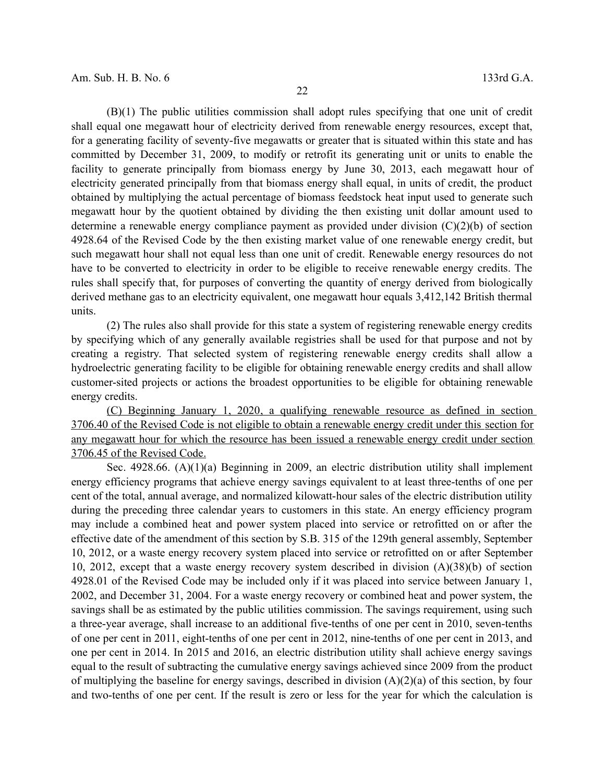(B)(1) The public utilities commission shall adopt rules specifying that one unit of credit shall equal one megawatt hour of electricity derived from renewable energy resources, except that, for a generating facility of seventy-five megawatts or greater that is situated within this state and has committed by December 31, 2009, to modify or retrofit its generating unit or units to enable the facility to generate principally from biomass energy by June 30, 2013, each megawatt hour of electricity generated principally from that biomass energy shall equal, in units of credit, the product obtained by multiplying the actual percentage of biomass feedstock heat input used to generate such megawatt hour by the quotient obtained by dividing the then existing unit dollar amount used to determine a renewable energy compliance payment as provided under division (C)(2)(b) of section 4928.64 of the Revised Code by the then existing market value of one renewable energy credit, but such megawatt hour shall not equal less than one unit of credit. Renewable energy resources do not have to be converted to electricity in order to be eligible to receive renewable energy credits. The rules shall specify that, for purposes of converting the quantity of energy derived from biologically derived methane gas to an electricity equivalent, one megawatt hour equals 3,412,142 British thermal units.

(2) The rules also shall provide for this state a system of registering renewable energy credits by specifying which of any generally available registries shall be used for that purpose and not by creating a registry. That selected system of registering renewable energy credits shall allow a hydroelectric generating facility to be eligible for obtaining renewable energy credits and shall allow customer-sited projects or actions the broadest opportunities to be eligible for obtaining renewable energy credits.

 (C) Beginning January 1, 2020 , a qualifying renewable resource as defined in section 3706.40 of the Revised Code is not eligible to obtain a renewable energy credit under this section for any megawatt hour for which the resource has been issued a renewable energy credit under section 3706.45 of the Revised Code.

Sec. 4928.66. (A)(1)(a) Beginning in 2009, an electric distribution utility shall implement energy efficiency programs that achieve energy savings equivalent to at least three-tenths of one per cent of the total, annual average, and normalized kilowatt-hour sales of the electric distribution utility during the preceding three calendar years to customers in this state. An energy efficiency program may include a combined heat and power system placed into service or retrofitted on or after the effective date of the amendment of this section by S.B. 315 of the 129th general assembly, September 10, 2012, or a waste energy recovery system placed into service or retrofitted on or after September 10, 2012, except that a waste energy recovery system described in division (A)(38)(b) of section 4928.01 of the Revised Code may be included only if it was placed into service between January 1, 2002, and December 31, 2004. For a waste energy recovery or combined heat and power system, the savings shall be as estimated by the public utilities commission. The savings requirement, using such a three-year average, shall increase to an additional five-tenths of one per cent in 2010, seven-tenths of one per cent in 2011, eight-tenths of one per cent in 2012, nine-tenths of one per cent in 2013, and one per cent in 2014. In 2015 and 2016, an electric distribution utility shall achieve energy savings equal to the result of subtracting the cumulative energy savings achieved since 2009 from the product of multiplying the baseline for energy savings, described in division (A)(2)(a) of this section, by four and two-tenths of one per cent. If the result is zero or less for the year for which the calculation is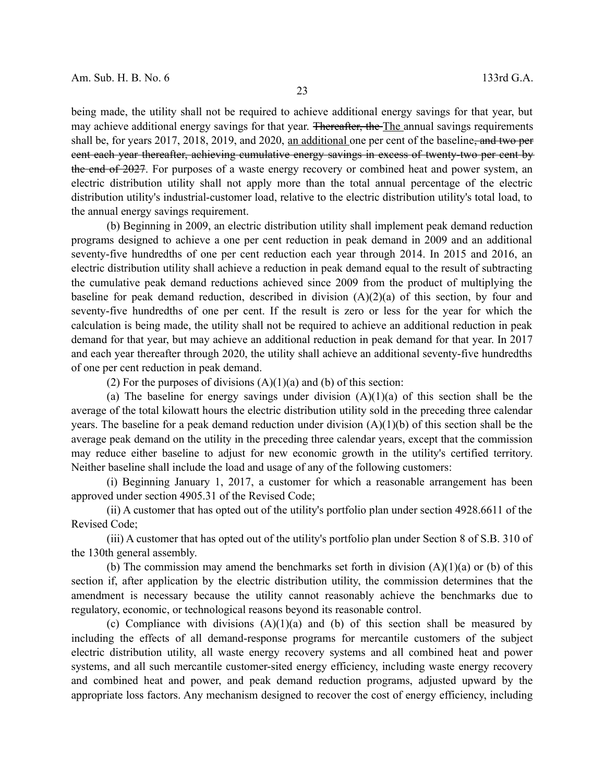being made, the utility shall not be required to achieve additional energy savings for that year, but may achieve additional energy savings for that year. Thereafter, the The annual savings requirements shall be, for years 2017, 2018, 2019, and 2020, an additional one per cent of the baseline, and two per cent each year thereafter, achieving cumulative energy savings in excess of twenty-two per cent by the end of 2027. For purposes of a waste energy recovery or combined heat and power system, an electric distribution utility shall not apply more than the total annual percentage of the electric distribution utility's industrial-customer load, relative to the electric distribution utility's total load, to the annual energy savings requirement.

(b) Beginning in 2009, an electric distribution utility shall implement peak demand reduction programs designed to achieve a one per cent reduction in peak demand in 2009 and an additional seventy-five hundredths of one per cent reduction each year through 2014. In 2015 and 2016, an electric distribution utility shall achieve a reduction in peak demand equal to the result of subtracting the cumulative peak demand reductions achieved since 2009 from the product of multiplying the baseline for peak demand reduction, described in division  $(A)(2)(a)$  of this section, by four and seventy-five hundredths of one per cent. If the result is zero or less for the year for which the calculation is being made, the utility shall not be required to achieve an additional reduction in peak demand for that year, but may achieve an additional reduction in peak demand for that year. In 2017 and each year thereafter through 2020, the utility shall achieve an additional seventy-five hundredths of one per cent reduction in peak demand.

(2) For the purposes of divisions  $(A)(1)(a)$  and  $(b)$  of this section:

(a) The baseline for energy savings under division  $(A)(1)(a)$  of this section shall be the average of the total kilowatt hours the electric distribution utility sold in the preceding three calendar years. The baseline for a peak demand reduction under division (A)(1)(b) of this section shall be the average peak demand on the utility in the preceding three calendar years, except that the commission may reduce either baseline to adjust for new economic growth in the utility's certified territory. Neither baseline shall include the load and usage of any of the following customers:

(i) Beginning January 1, 2017, a customer for which a reasonable arrangement has been approved under section 4905.31 of the Revised Code;

(ii) A customer that has opted out of the utility's portfolio plan under section 4928.6611 of the Revised Code;

(iii) A customer that has opted out of the utility's portfolio plan under Section 8 of S.B. 310 of the 130th general assembly.

(b) The commission may amend the benchmarks set forth in division  $(A)(1)(a)$  or (b) of this section if, after application by the electric distribution utility, the commission determines that the amendment is necessary because the utility cannot reasonably achieve the benchmarks due to regulatory, economic, or technological reasons beyond its reasonable control.

(c) Compliance with divisions  $(A)(1)(a)$  and  $(b)$  of this section shall be measured by including the effects of all demand-response programs for mercantile customers of the subject electric distribution utility, all waste energy recovery systems and all combined heat and power systems, and all such mercantile customer-sited energy efficiency, including waste energy recovery and combined heat and power, and peak demand reduction programs, adjusted upward by the appropriate loss factors. Any mechanism designed to recover the cost of energy efficiency, including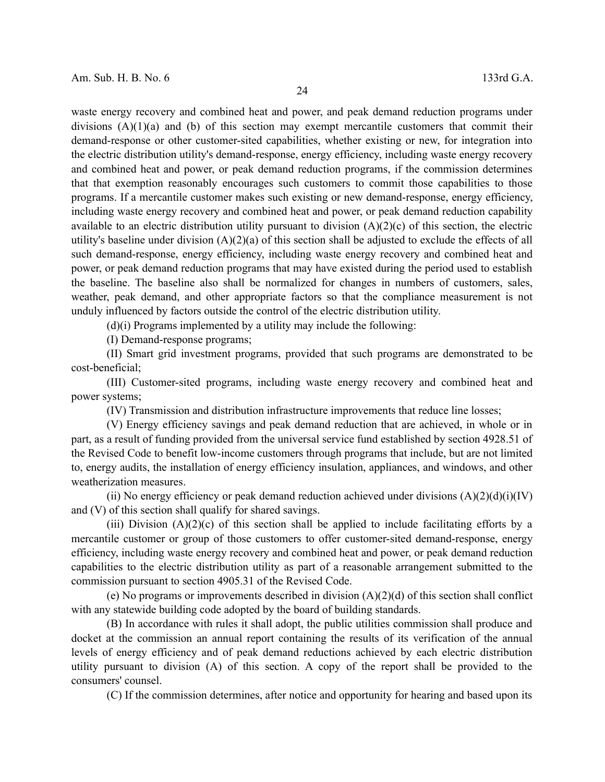waste energy recovery and combined heat and power, and peak demand reduction programs under divisions (A)(1)(a) and (b) of this section may exempt mercantile customers that commit their demand-response or other customer-sited capabilities, whether existing or new, for integration into the electric distribution utility's demand-response, energy efficiency, including waste energy recovery and combined heat and power, or peak demand reduction programs, if the commission determines that that exemption reasonably encourages such customers to commit those capabilities to those programs. If a mercantile customer makes such existing or new demand-response, energy efficiency, including waste energy recovery and combined heat and power, or peak demand reduction capability available to an electric distribution utility pursuant to division  $(A)(2)(c)$  of this section, the electric utility's baseline under division (A)(2)(a) of this section shall be adjusted to exclude the effects of all such demand-response, energy efficiency, including waste energy recovery and combined heat and power, or peak demand reduction programs that may have existed during the period used to establish the baseline. The baseline also shall be normalized for changes in numbers of customers, sales, weather, peak demand, and other appropriate factors so that the compliance measurement is not unduly influenced by factors outside the control of the electric distribution utility.

(d)(i) Programs implemented by a utility may include the following:

(I) Demand-response programs;

(II) Smart grid investment programs, provided that such programs are demonstrated to be cost-beneficial;

(III) Customer-sited programs, including waste energy recovery and combined heat and power systems;

(IV) Transmission and distribution infrastructure improvements that reduce line losses;

(V) Energy efficiency savings and peak demand reduction that are achieved, in whole or in part, as a result of funding provided from the universal service fund established by section 4928.51 of the Revised Code to benefit low-income customers through programs that include, but are not limited to, energy audits, the installation of energy efficiency insulation, appliances, and windows, and other weatherization measures.

(ii) No energy efficiency or peak demand reduction achieved under divisions  $(A)(2)(d)(i)(IV)$ and (V) of this section shall qualify for shared savings.

(iii) Division  $(A)(2)(c)$  of this section shall be applied to include facilitating efforts by a mercantile customer or group of those customers to offer customer-sited demand-response, energy efficiency, including waste energy recovery and combined heat and power, or peak demand reduction capabilities to the electric distribution utility as part of a reasonable arrangement submitted to the commission pursuant to section 4905.31 of the Revised Code.

(e) No programs or improvements described in division (A)(2)(d) of this section shall conflict with any statewide building code adopted by the board of building standards.

(B) In accordance with rules it shall adopt, the public utilities commission shall produce and docket at the commission an annual report containing the results of its verification of the annual levels of energy efficiency and of peak demand reductions achieved by each electric distribution utility pursuant to division (A) of this section. A copy of the report shall be provided to the consumers' counsel.

(C) If the commission determines, after notice and opportunity for hearing and based upon its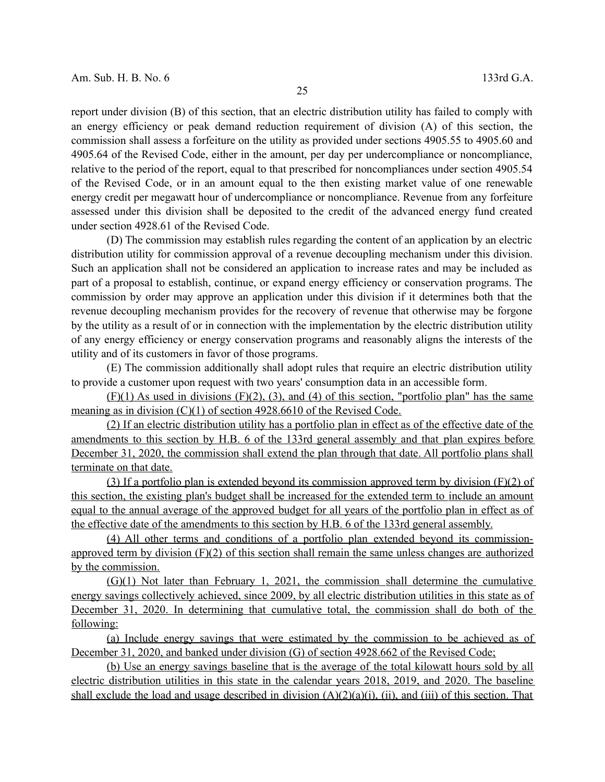report under division (B) of this section, that an electric distribution utility has failed to comply with an energy efficiency or peak demand reduction requirement of division (A) of this section, the commission shall assess a forfeiture on the utility as provided under sections 4905.55 to 4905.60 and 4905.64 of the Revised Code, either in the amount, per day per undercompliance or noncompliance, relative to the period of the report, equal to that prescribed for noncompliances under section 4905.54 of the Revised Code, or in an amount equal to the then existing market value of one renewable energy credit per megawatt hour of undercompliance or noncompliance. Revenue from any forfeiture assessed under this division shall be deposited to the credit of the advanced energy fund created under section 4928.61 of the Revised Code.

(D) The commission may establish rules regarding the content of an application by an electric distribution utility for commission approval of a revenue decoupling mechanism under this division. Such an application shall not be considered an application to increase rates and may be included as part of a proposal to establish, continue, or expand energy efficiency or conservation programs. The commission by order may approve an application under this division if it determines both that the revenue decoupling mechanism provides for the recovery of revenue that otherwise may be forgone by the utility as a result of or in connection with the implementation by the electric distribution utility of any energy efficiency or energy conservation programs and reasonably aligns the interests of the utility and of its customers in favor of those programs.

(E) The commission additionally shall adopt rules that require an electric distribution utility to provide a customer upon request with two years' consumption data in an accessible form.

 $(F)(1)$  As used in divisions  $(F)(2)$ ,  $(3)$ , and  $(4)$  of this section, "portfolio plan" has the same meaning as in division (C)(1) of section 4928.6610 of the Revised Code.

 (2) If an electric distribution utility has a portfolio plan in effect as of the effective date of the amendments to this section by H.B. 6 of the 133rd general assembly and that plan expires before December 31, 2020, the commission shall extend the plan through that date. All portfolio plans shall terminate on that date.

 (3) If a portfolio plan is extended beyond its commission approved term by division (F)(2) of this section, the existing plan's budget shall be increased for the extended term to include an amount equal to the annual average of the approved budget for all years of the portfolio plan in effect as of the effective date of the amendments to this section by H.B. 6 of the 133rd general assembly.

 (4) All other terms and conditions of a portfolio plan extended beyond its commission approved term by division (F)(2) of this section shall remain the same unless changes are authorized by the commission.

 (G)(1) Not later than February 1, 2021, the commission shall determine the cumulative energy savings collectively achieved, since 2009, by all electric distribution utilities in this state as of December 31, 2020. In determining that cumulative total, the commission shall do both of the following:

 (a) Include energy savings that were estimated by the commission to be achieved as of December 31, 2020, and banked under division (G) of section 4928.662 of the Revised Code;

 (b) Use an energy savings baseline that is the average of the total kilowatt hours sold by all electric distribution utilities in this state in the calendar years 2018, 2019, and 2020. The baseline shall exclude the load and usage described in division  $(A)(2)(a)(i)$ , (ii), and (iii) of this section. That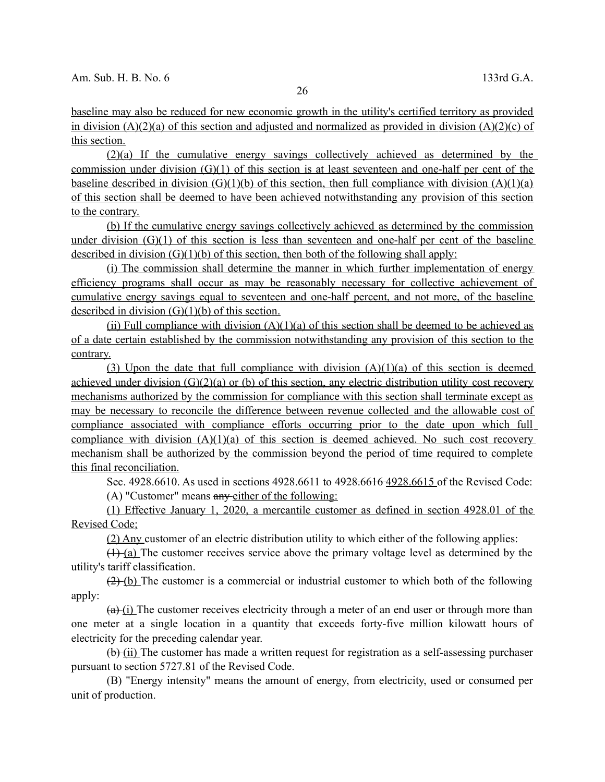baseline may also be reduced for new economic growth in the utility's certified territory as provided in division (A)(2)(a) of this section and adjusted and normalized as provided in division (A)(2)(c) of this section.

 (2)(a) If the cumulative energy savings collectively achieved as determined by the commission under division (G)(1) of this section is at least seventeen and one-half per cent of the baseline described in division  $(G)(1)(b)$  of this section, then full compliance with division  $(A)(1)(a)$  of this section shall be deemed to have been achieved notwithstanding any provision of this section to the contrary.

 (b) If the cumulative energy savings collectively achieved as determined by the commission under division  $(G)(1)$  of this section is less than seventeen and one-half per cent of the baseline described in division  $(G)(1)(b)$  of this section, then both of the following shall apply:

 (i) The commission shall determine the manner in which further implementation of energy efficiency programs shall occur as may be reasonably necessary for collective achievement of cumulative energy savings equal to seventeen and one-half percent, and not more, of the baseline described in division  $(G)(1)(b)$  of this section.

(ii) Full compliance with division  $(A)(1)(a)$  of this section shall be deemed to be achieved as of a date certain established by the commission notwithstanding any provision of this section to the contrary.

(3) Upon the date that full compliance with division  $(A)(1)(a)$  of this section is deemed achieved under division  $(G)(2)(a)$  or (b) of this section, any electric distribution utility cost recovery mechanisms authorized by the commission for compliance with this section shall terminate except as may be necessary to reconcile the difference between revenue collected and the allowable cost of compliance associated with compliance efforts occurring prior to the date upon which full compliance with division  $(A)(1)(a)$  of this section is deemed achieved. No such cost recovery mechanism shall be authorized by the commission beyond the period of time required to complete this final reconciliation.

Sec. 4928.6610. As used in sections 4928.6611 to 4928.6616 4928.6615 of the Revised Code:

(A) "Customer" means any either of the following:

 (1) Effective January 1, 2020, a mercantile customer as defined in section 4928.01 of the Revised Code;

(2) Any customer of an electric distribution utility to which either of the following applies:

 $(1)$  (a) The customer receives service above the primary voltage level as determined by the utility's tariff classification.

 $(2)$  (b) The customer is a commercial or industrial customer to which both of the following apply:

 $(a)$  (i) The customer receives electricity through a meter of an end user or through more than one meter at a single location in a quantity that exceeds forty-five million kilowatt hours of electricity for the preceding calendar year.

 $(b)$  (ii) The customer has made a written request for registration as a self-assessing purchaser pursuant to section 5727.81 of the Revised Code.

(B) "Energy intensity" means the amount of energy, from electricity, used or consumed per unit of production.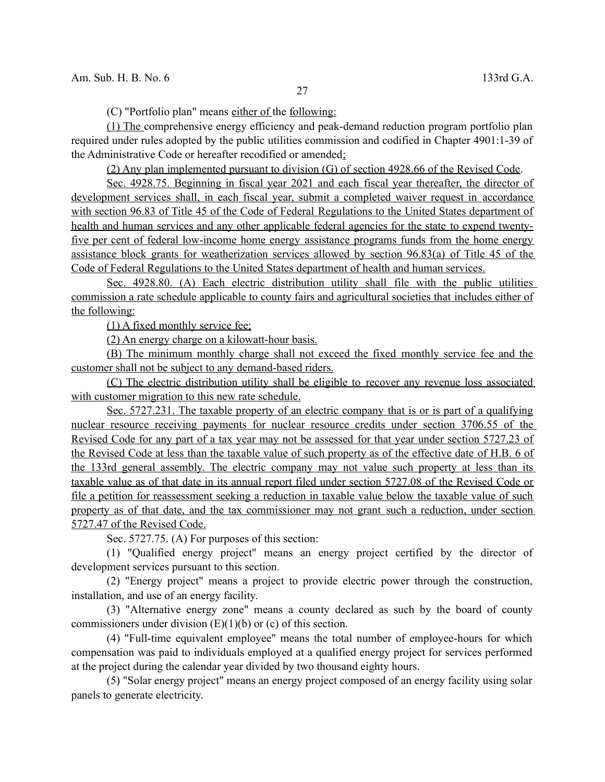(C) "Portfolio plan" means either of the following:

 (1) The comprehensive energy efficiency and peak-demand reduction program portfolio plan required under rules adopted by the public utilities commission and codified in Chapter 4901:1-39 of the Administrative Code or hereafter recodified or amended;

(2) Any plan implemented pursuant to division (G) of section 4928.66 of the Revised Code.

 Sec. 4928.75. Beginning in fiscal year 2021 and each fiscal year thereafter, the director of development services shall, in each fiscal year, submit a completed waiver request in accordance with section 96.83 of Title 45 of the Code of Federal Regulations to the United States department of health and human services and any other applicable federal agencies for the state to expend twenty five per cent of federal low-income home energy assistance programs funds from the home energy assistance block grants for weatherization services allowed by section 96.83(a) of Title 45 of the Code of Federal Regulations to the United States department of health and human services.

 Sec. 4928.80. (A) Each electric distribution utility shall file with the public utilities commission a rate schedule applicable to county fairs and agricultural societies that includes either of the following:

(1) A fixed monthly service fee;

(2) An energy charge on a kilowatt-hour basis.

 (B) The minimum monthly charge shall not exceed the fixed monthly service fee and the customer shall not be subject to any demand-based riders.

 (C) The electric distribution utility shall be eligible to recover any revenue loss associated with customer migration to this new rate schedule.

 Sec. 5727.231. The taxable property of an electric company that is or is part of a qualifying nuclear resource receiving payments for nuclear resource credits under section 3706.55 of the Revised Code for any part of a tax year may not be assessed for that year under section 5727.23 of the Revised Code at less than the taxable value of such property as of the effective date of H.B. 6 of the 133rd general assembly. The electric company may not value such property at less than its taxable value as of that date in its annual report filed under section 5727.08 of the Revised Code or file a petition for reassessment seeking a reduction in taxable value below the taxable value of such property as of that date, and the tax commissioner may not grant such a reduction, under section 5727.47 of the Revised Code.

Sec. 5727.75. (A) For purposes of this section:

(1) "Qualified energy project" means an energy project certified by the director of development services pursuant to this section.

(2) "Energy project" means a project to provide electric power through the construction, installation, and use of an energy facility.

(3) "Alternative energy zone" means a county declared as such by the board of county commissioners under division  $(E)(1)(b)$  or  $(c)$  of this section.

(4) "Full-time equivalent employee" means the total number of employee-hours for which compensation was paid to individuals employed at a qualified energy project for services performed at the project during the calendar year divided by two thousand eighty hours.

(5) "Solar energy project" means an energy project composed of an energy facility using solar panels to generate electricity.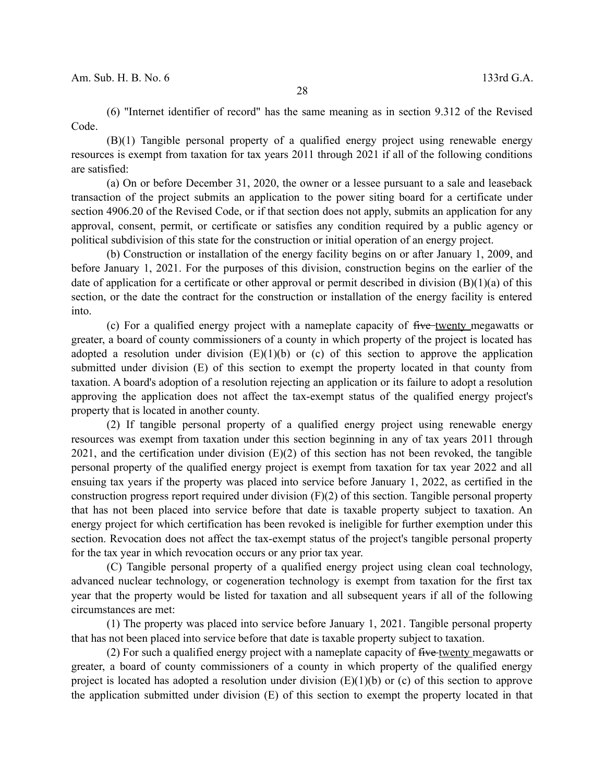(6) "Internet identifier of record" has the same meaning as in section 9.312 of the Revised Code.

(B)(1) Tangible personal property of a qualified energy project using renewable energy resources is exempt from taxation for tax years 2011 through 2021 if all of the following conditions are satisfied:

(a) On or before December 31, 2020, the owner or a lessee pursuant to a sale and leaseback transaction of the project submits an application to the power siting board for a certificate under section 4906.20 of the Revised Code, or if that section does not apply, submits an application for any approval, consent, permit, or certificate or satisfies any condition required by a public agency or political subdivision of this state for the construction or initial operation of an energy project.

(b) Construction or installation of the energy facility begins on or after January 1, 2009, and before January 1, 2021. For the purposes of this division, construction begins on the earlier of the date of application for a certificate or other approval or permit described in division  $(B)(1)(a)$  of this section, or the date the contract for the construction or installation of the energy facility is entered into.

(c) For a qualified energy project with a nameplate capacity of five-twenty megawatts or greater, a board of county commissioners of a county in which property of the project is located has adopted a resolution under division  $(E)(1)(b)$  or (c) of this section to approve the application submitted under division (E) of this section to exempt the property located in that county from taxation. A board's adoption of a resolution rejecting an application or its failure to adopt a resolution approving the application does not affect the tax-exempt status of the qualified energy project's property that is located in another county.

(2) If tangible personal property of a qualified energy project using renewable energy resources was exempt from taxation under this section beginning in any of tax years 2011 through  $2021$ , and the certification under division (E)(2) of this section has not been revoked, the tangible personal property of the qualified energy project is exempt from taxation for tax year 2022 and all ensuing tax years if the property was placed into service before January 1, 2022, as certified in the construction progress report required under division  $(F)(2)$  of this section. Tangible personal property that has not been placed into service before that date is taxable property subject to taxation. An energy project for which certification has been revoked is ineligible for further exemption under this section. Revocation does not affect the tax-exempt status of the project's tangible personal property for the tax year in which revocation occurs or any prior tax year.

(C) Tangible personal property of a qualified energy project using clean coal technology, advanced nuclear technology, or cogeneration technology is exempt from taxation for the first tax year that the property would be listed for taxation and all subsequent years if all of the following circumstances are met:

(1) The property was placed into service before January 1, 2021. Tangible personal property that has not been placed into service before that date is taxable property subject to taxation.

(2) For such a qualified energy project with a nameplate capacity of  $f$ ive twenty megawatts or greater, a board of county commissioners of a county in which property of the qualified energy project is located has adopted a resolution under division  $(E)(1)(b)$  or (c) of this section to approve the application submitted under division (E) of this section to exempt the property located in that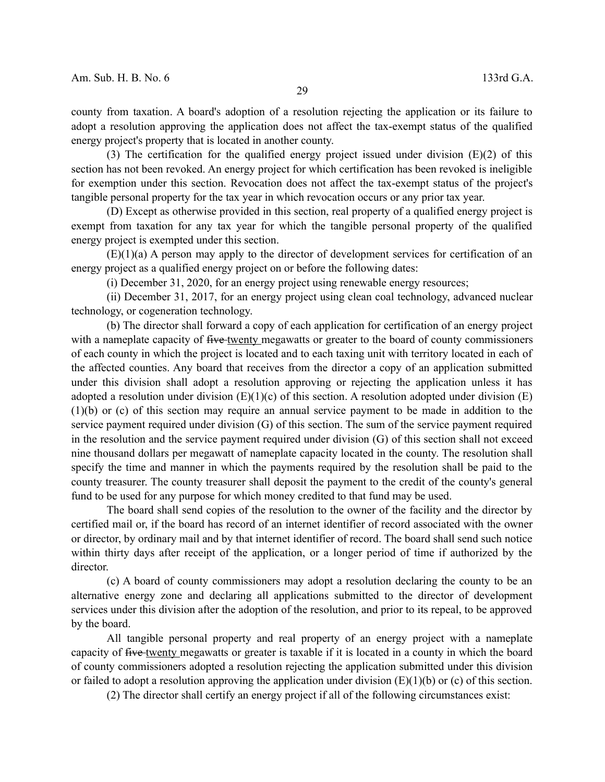county from taxation. A board's adoption of a resolution rejecting the application or its failure to adopt a resolution approving the application does not affect the tax-exempt status of the qualified energy project's property that is located in another county.

(3) The certification for the qualified energy project issued under division  $(E)(2)$  of this section has not been revoked. An energy project for which certification has been revoked is ineligible for exemption under this section. Revocation does not affect the tax-exempt status of the project's tangible personal property for the tax year in which revocation occurs or any prior tax year.

(D) Except as otherwise provided in this section, real property of a qualified energy project is exempt from taxation for any tax year for which the tangible personal property of the qualified energy project is exempted under this section.

(E)(1)(a) A person may apply to the director of development services for certification of an energy project as a qualified energy project on or before the following dates:

(i) December 31, 2020, for an energy project using renewable energy resources;

(ii) December 31, 2017, for an energy project using clean coal technology, advanced nuclear technology, or cogeneration technology.

(b) The director shall forward a copy of each application for certification of an energy project with a nameplate capacity of five twenty megawatts or greater to the board of county commissioners of each county in which the project is located and to each taxing unit with territory located in each of the affected counties. Any board that receives from the director a copy of an application submitted under this division shall adopt a resolution approving or rejecting the application unless it has adopted a resolution under division  $(E)(1)(c)$  of this section. A resolution adopted under division  $(E)$ (1)(b) or (c) of this section may require an annual service payment to be made in addition to the service payment required under division (G) of this section. The sum of the service payment required in the resolution and the service payment required under division (G) of this section shall not exceed nine thousand dollars per megawatt of nameplate capacity located in the county. The resolution shall specify the time and manner in which the payments required by the resolution shall be paid to the county treasurer. The county treasurer shall deposit the payment to the credit of the county's general fund to be used for any purpose for which money credited to that fund may be used.

The board shall send copies of the resolution to the owner of the facility and the director by certified mail or, if the board has record of an internet identifier of record associated with the owner or director, by ordinary mail and by that internet identifier of record. The board shall send such notice within thirty days after receipt of the application, or a longer period of time if authorized by the director.

(c) A board of county commissioners may adopt a resolution declaring the county to be an alternative energy zone and declaring all applications submitted to the director of development services under this division after the adoption of the resolution, and prior to its repeal, to be approved by the board.

All tangible personal property and real property of an energy project with a nameplate capacity of five twenty megawatts or greater is taxable if it is located in a county in which the board of county commissioners adopted a resolution rejecting the application submitted under this division or failed to adopt a resolution approving the application under division  $(E)(1)(b)$  or (c) of this section.

(2) The director shall certify an energy project if all of the following circumstances exist: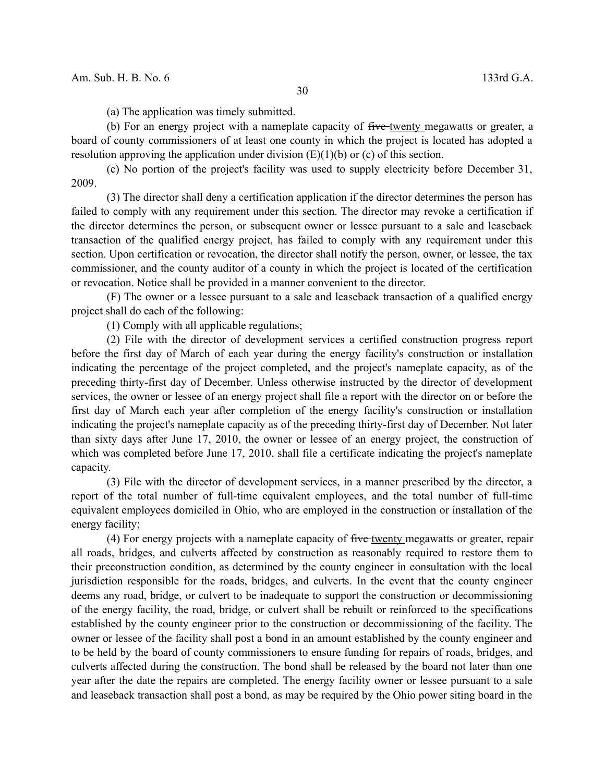(a) The application was timely submitted.

(b) For an energy project with a nameplate capacity of five-twenty megawatts or greater, a board of county commissioners of at least one county in which the project is located has adopted a resolution approving the application under division  $(E)(1)(b)$  or (c) of this section.

(c) No portion of the project's facility was used to supply electricity before December 31, 2009.

(3) The director shall deny a certification application if the director determines the person has failed to comply with any requirement under this section. The director may revoke a certification if the director determines the person, or subsequent owner or lessee pursuant to a sale and leaseback transaction of the qualified energy project, has failed to comply with any requirement under this section. Upon certification or revocation, the director shall notify the person, owner, or lessee, the tax commissioner, and the county auditor of a county in which the project is located of the certification or revocation. Notice shall be provided in a manner convenient to the director.

(F) The owner or a lessee pursuant to a sale and leaseback transaction of a qualified energy project shall do each of the following:

(1) Comply with all applicable regulations;

(2) File with the director of development services a certified construction progress report before the first day of March of each year during the energy facility's construction or installation indicating the percentage of the project completed, and the project's nameplate capacity, as of the preceding thirty-first day of December. Unless otherwise instructed by the director of development services, the owner or lessee of an energy project shall file a report with the director on or before the first day of March each year after completion of the energy facility's construction or installation indicating the project's nameplate capacity as of the preceding thirty-first day of December. Not later than sixty days after June 17, 2010, the owner or lessee of an energy project, the construction of which was completed before June 17, 2010, shall file a certificate indicating the project's nameplate capacity.

(3) File with the director of development services, in a manner prescribed by the director, a report of the total number of full-time equivalent employees, and the total number of full-time equivalent employees domiciled in Ohio, who are employed in the construction or installation of the energy facility;

(4) For energy projects with a nameplate capacity of five twenty megawatts or greater, repair all roads, bridges, and culverts affected by construction as reasonably required to restore them to their preconstruction condition, as determined by the county engineer in consultation with the local jurisdiction responsible for the roads, bridges, and culverts. In the event that the county engineer deems any road, bridge, or culvert to be inadequate to support the construction or decommissioning of the energy facility, the road, bridge, or culvert shall be rebuilt or reinforced to the specifications established by the county engineer prior to the construction or decommissioning of the facility. The owner or lessee of the facility shall post a bond in an amount established by the county engineer and to be held by the board of county commissioners to ensure funding for repairs of roads, bridges, and culverts affected during the construction. The bond shall be released by the board not later than one year after the date the repairs are completed. The energy facility owner or lessee pursuant to a sale and leaseback transaction shall post a bond, as may be required by the Ohio power siting board in the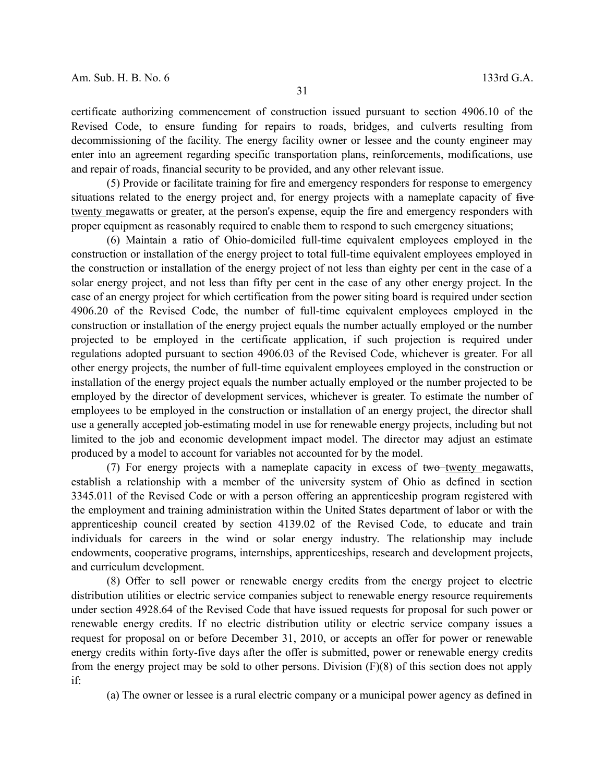certificate authorizing commencement of construction issued pursuant to section 4906.10 of the Revised Code, to ensure funding for repairs to roads, bridges, and culverts resulting from decommissioning of the facility. The energy facility owner or lessee and the county engineer may enter into an agreement regarding specific transportation plans, reinforcements, modifications, use and repair of roads, financial security to be provided, and any other relevant issue.

(5) Provide or facilitate training for fire and emergency responders for response to emergency situations related to the energy project and, for energy projects with a nameplate capacity of five twenty megawatts or greater, at the person's expense, equip the fire and emergency responders with proper equipment as reasonably required to enable them to respond to such emergency situations;

(6) Maintain a ratio of Ohio-domiciled full-time equivalent employees employed in the construction or installation of the energy project to total full-time equivalent employees employed in the construction or installation of the energy project of not less than eighty per cent in the case of a solar energy project, and not less than fifty per cent in the case of any other energy project. In the case of an energy project for which certification from the power siting board is required under section 4906.20 of the Revised Code, the number of full-time equivalent employees employed in the construction or installation of the energy project equals the number actually employed or the number projected to be employed in the certificate application, if such projection is required under regulations adopted pursuant to section 4906.03 of the Revised Code, whichever is greater. For all other energy projects, the number of full-time equivalent employees employed in the construction or installation of the energy project equals the number actually employed or the number projected to be employed by the director of development services, whichever is greater. To estimate the number of employees to be employed in the construction or installation of an energy project, the director shall use a generally accepted job-estimating model in use for renewable energy projects, including but not limited to the job and economic development impact model. The director may adjust an estimate produced by a model to account for variables not accounted for by the model.

(7) For energy projects with a nameplate capacity in excess of  $two-twenty_m$  excess of  $two-megawatts$ , establish a relationship with a member of the university system of Ohio as defined in section 3345.011 of the Revised Code or with a person offering an apprenticeship program registered with the employment and training administration within the United States department of labor or with the apprenticeship council created by section 4139.02 of the Revised Code, to educate and train individuals for careers in the wind or solar energy industry. The relationship may include endowments, cooperative programs, internships, apprenticeships, research and development projects, and curriculum development.

(8) Offer to sell power or renewable energy credits from the energy project to electric distribution utilities or electric service companies subject to renewable energy resource requirements under section 4928.64 of the Revised Code that have issued requests for proposal for such power or renewable energy credits. If no electric distribution utility or electric service company issues a request for proposal on or before December 31, 2010, or accepts an offer for power or renewable energy credits within forty-five days after the offer is submitted, power or renewable energy credits from the energy project may be sold to other persons. Division (F)(8) of this section does not apply if:

(a) The owner or lessee is a rural electric company or a municipal power agency as defined in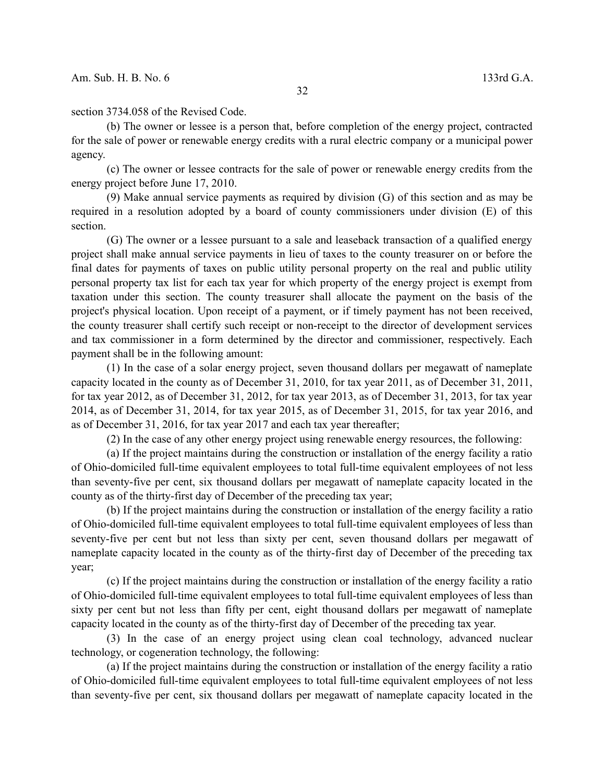section 3734.058 of the Revised Code.

(b) The owner or lessee is a person that, before completion of the energy project, contracted for the sale of power or renewable energy credits with a rural electric company or a municipal power agency.

(c) The owner or lessee contracts for the sale of power or renewable energy credits from the energy project before June 17, 2010.

(9) Make annual service payments as required by division (G) of this section and as may be required in a resolution adopted by a board of county commissioners under division (E) of this section.

(G) The owner or a lessee pursuant to a sale and leaseback transaction of a qualified energy project shall make annual service payments in lieu of taxes to the county treasurer on or before the final dates for payments of taxes on public utility personal property on the real and public utility personal property tax list for each tax year for which property of the energy project is exempt from taxation under this section. The county treasurer shall allocate the payment on the basis of the project's physical location. Upon receipt of a payment, or if timely payment has not been received, the county treasurer shall certify such receipt or non-receipt to the director of development services and tax commissioner in a form determined by the director and commissioner, respectively. Each payment shall be in the following amount:

(1) In the case of a solar energy project, seven thousand dollars per megawatt of nameplate capacity located in the county as of December 31, 2010, for tax year 2011, as of December 31, 2011, for tax year 2012, as of December 31, 2012, for tax year 2013, as of December 31, 2013, for tax year 2014, as of December 31, 2014, for tax year 2015, as of December 31, 2015, for tax year 2016, and as of December 31, 2016, for tax year 2017 and each tax year thereafter;

(2) In the case of any other energy project using renewable energy resources, the following:

(a) If the project maintains during the construction or installation of the energy facility a ratio of Ohio-domiciled full-time equivalent employees to total full-time equivalent employees of not less than seventy-five per cent, six thousand dollars per megawatt of nameplate capacity located in the county as of the thirty-first day of December of the preceding tax year;

(b) If the project maintains during the construction or installation of the energy facility a ratio of Ohio-domiciled full-time equivalent employees to total full-time equivalent employees of less than seventy-five per cent but not less than sixty per cent, seven thousand dollars per megawatt of nameplate capacity located in the county as of the thirty-first day of December of the preceding tax year;

(c) If the project maintains during the construction or installation of the energy facility a ratio of Ohio-domiciled full-time equivalent employees to total full-time equivalent employees of less than sixty per cent but not less than fifty per cent, eight thousand dollars per megawatt of nameplate capacity located in the county as of the thirty-first day of December of the preceding tax year.

(3) In the case of an energy project using clean coal technology, advanced nuclear technology, or cogeneration technology, the following:

(a) If the project maintains during the construction or installation of the energy facility a ratio of Ohio-domiciled full-time equivalent employees to total full-time equivalent employees of not less than seventy-five per cent, six thousand dollars per megawatt of nameplate capacity located in the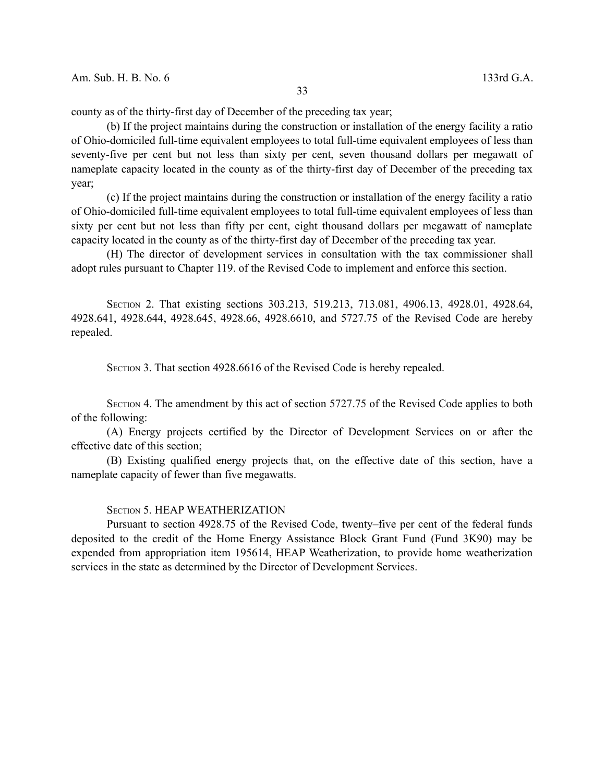county as of the thirty-first day of December of the preceding tax year;

(b) If the project maintains during the construction or installation of the energy facility a ratio of Ohio-domiciled full-time equivalent employees to total full-time equivalent employees of less than seventy-five per cent but not less than sixty per cent, seven thousand dollars per megawatt of nameplate capacity located in the county as of the thirty-first day of December of the preceding tax year;

(c) If the project maintains during the construction or installation of the energy facility a ratio of Ohio-domiciled full-time equivalent employees to total full-time equivalent employees of less than sixty per cent but not less than fifty per cent, eight thousand dollars per megawatt of nameplate capacity located in the county as of the thirty-first day of December of the preceding tax year.

(H) The director of development services in consultation with the tax commissioner shall adopt rules pursuant to Chapter 119. of the Revised Code to implement and enforce this section.

SECTION 2. That existing sections 303.213, 519.213, 713.081, 4906.13, 4928.01, 4928.64, 4928.641, 4928.644, 4928.645, 4928.66, 4928.6610, and 5727.75 of the Revised Code are hereby repealed.

SECTION 3. That section 4928.6616 of the Revised Code is hereby repealed.

SECTION 4. The amendment by this act of section 5727.75 of the Revised Code applies to both of the following:

(A) Energy projects certified by the Director of Development Services on or after the effective date of this section;

(B) Existing qualified energy projects that, on the effective date of this section, have a nameplate capacity of fewer than five megawatts.

## SECTION 5. HEAP WEATHERIZATION

Pursuant to section 4928.75 of the Revised Code, twenty–five per cent of the federal funds deposited to the credit of the Home Energy Assistance Block Grant Fund (Fund 3K90) may be expended from appropriation item 195614, HEAP Weatherization, to provide home weatherization services in the state as determined by the Director of Development Services.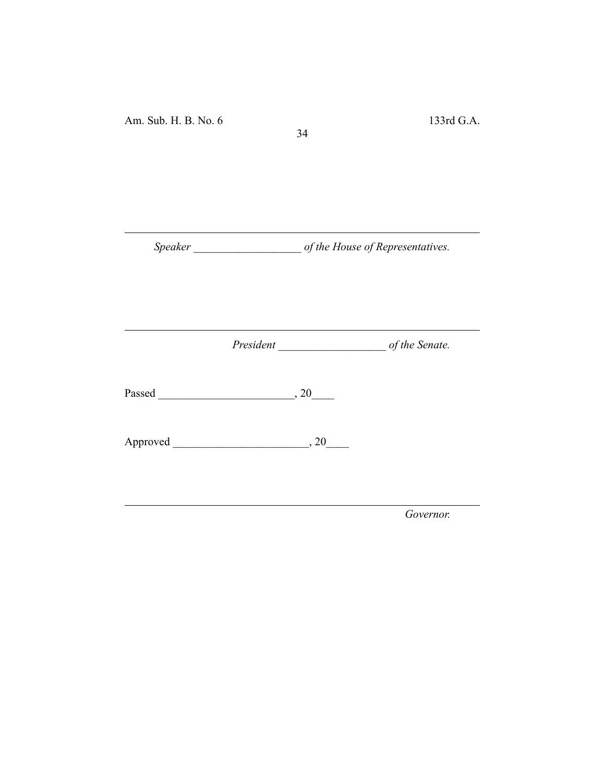*Speaker \_\_\_\_\_\_\_\_\_\_\_\_\_\_\_\_\_\_\_ of the House of Representatives.*

34

*President \_\_\_\_\_\_\_\_\_\_\_\_\_\_\_\_\_\_\_ of the Senate.*

Passed \_\_\_\_\_\_\_\_\_\_\_\_\_\_\_\_\_\_\_\_\_\_\_\_, 20\_\_\_\_

Approved \_\_\_\_\_\_\_\_\_\_\_\_\_\_\_\_\_\_\_\_\_\_\_\_, 20\_\_\_\_

*Governor.*